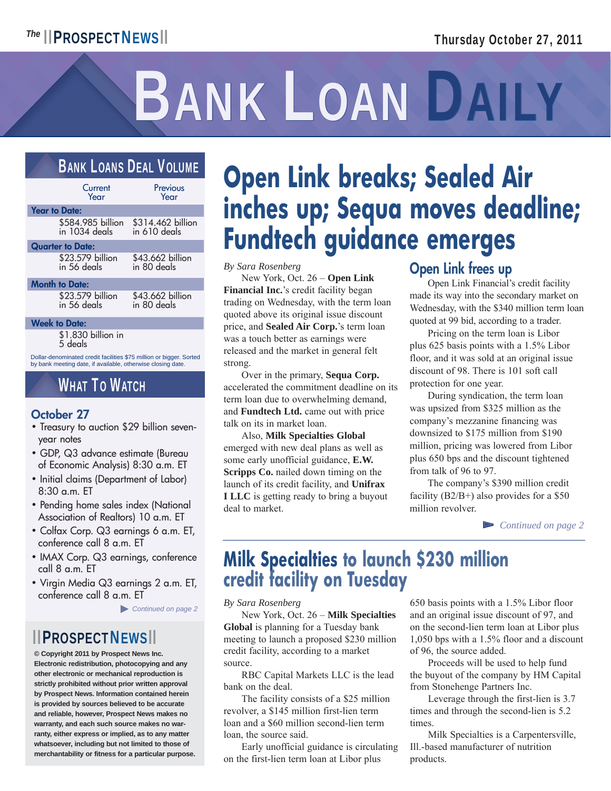# BANK LOAN DAILY

## BANK LOANS DEAL VOLUME

| Current<br>Year                      | Previous<br>Year                               |
|--------------------------------------|------------------------------------------------|
| <b>Year to Date:</b>                 |                                                |
| \$584.985 billion<br>in $1034$ deals | \$314.462 billion<br>$\overline{10}$ 610 deals |
| <b>Quarter to Date:</b>              |                                                |
| \$23.579 billion<br>in 56 deals      | \$43.662 billion<br>in 80 deals                |
| <b>Month to Date:</b>                |                                                |
| \$23.579 billion                     | \$43.662 billion                               |

 $5.379$  billion in 56 deals

**Week to Date:**

\$1.830 billion in 5 deals

Dollar-denominated credit facilities \$75 million or bigger. Sorted by bank meeting date, if available, otherwise closing date.

in 80 deals

## WHAT TO WATCH

#### **October 27**

- Treasury to auction \$29 billion sevenyear notes
- GDP, Q3 advance estimate (Bureau of Economic Analysis) 8:30 a.m. ET
- Initial claims (Department of Labor) 8:30 a.m. ET
- Pending home sales index (National Association of Realtors) 10 a.m. ET
- Colfax Corp. Q3 earnings 6 a.m. ET, conference call 8 a.m. ET
- IMAX Corp. Q3 earnings, conference call 8 a.m. ET
- Virgin Media Q3 earnings 2 a.m. ET, conference call 8 a.m. ET

► *Continued on page 2*

## ▮ ▮PROSPECTNEWS▮ ▮

**© Copyright 2011 by Prospect News Inc. Electronic redistribution, photocopying and any other electronic or mechanical reproduction is strictly prohibited without prior written approval by Prospect News. Information contained herein is provided by sources believed to be accurate and reliable, however, Prospect News makes no warranty, and each such source makes no warranty, either express or implied, as to any matter whatsoever, including but not limited to those of merchantability or fitness for a particular purpose.**

# **Open Link breaks; Sealed Air inches up; Sequa moves deadline; Fundtech guidance emerges**

*By Sara Rosenberg*

 New York, Oct. 26 – **Open Link Financial Inc.**'s credit facility began trading on Wednesday, with the term loan quoted above its original issue discount price, and **Sealed Air Corp.**'s term loan was a touch better as earnings were released and the market in general felt strong.

 Over in the primary, **Sequa Corp.** accelerated the commitment deadline on its term loan due to overwhelming demand, and **Fundtech Ltd.** came out with price talk on its in market loan.

 Also, **Milk Specialties Global** emerged with new deal plans as well as some early unofficial guidance, **E.W. Scripps Co.** nailed down timing on the launch of its credit facility, and **Unifrax I LLC** is getting ready to bring a buyout deal to market.

## **Open Link frees up**

 Open Link Financial's credit facility made its way into the secondary market on Wednesday, with the \$340 million term loan quoted at 99 bid, according to a trader.

 Pricing on the term loan is Libor plus 625 basis points with a 1.5% Libor floor, and it was sold at an original issue discount of 98. There is 101 soft call protection for one year.

 During syndication, the term loan was upsized from \$325 million as the company's mezzanine financing was downsized to \$175 million from \$190 million, pricing was lowered from Libor plus 650 bps and the discount tightened from talk of 96 to 97.

 The company's \$390 million credit facility (B2/B+) also provides for a \$50 million revolver.

▻ *Continued on page 2*

## **Milk Specialties to launch \$230 million credit facility on Tuesday**

*By Sara Rosenberg*

 New York, Oct. 26 – **Milk Specialties Global** is planning for a Tuesday bank meeting to launch a proposed \$230 million credit facility, according to a market source.

 RBC Capital Markets LLC is the lead bank on the deal.

 The facility consists of a \$25 million revolver, a \$145 million first-lien term loan and a \$60 million second-lien term loan, the source said.

 Early unofficial guidance is circulating on the first-lien term loan at Libor plus

650 basis points with a 1.5% Libor floor and an original issue discount of 97, and on the second-lien term loan at Libor plus 1,050 bps with a 1.5% floor and a discount of 96, the source added.

 Proceeds will be used to help fund the buyout of the company by HM Capital from Stonehenge Partners Inc.

 Leverage through the first-lien is 3.7 times and through the second-lien is 5.2 times.

 Milk Specialties is a Carpentersville, Ill.-based manufacturer of nutrition products.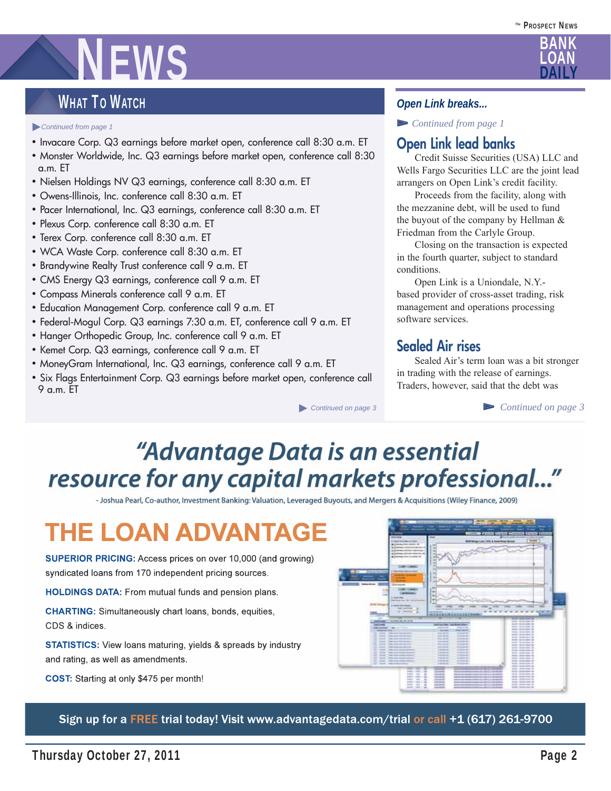# NEWS

## WHAT TO WATCH

#### ► *Continued from page 1*

- Invacare Corp. Q3 earnings before market open, conference call 8:30 a.m. ET
- Monster Worldwide, Inc. Q3 earnings before market open, conference call 8:30 a.m. ET
- Nielsen Holdings NV Q3 earnings, conference call 8:30 a.m. ET
- Owens-Illinois, Inc. conference call 8:30 a.m. ET
- Pacer International, Inc. Q3 earnings, conference call 8:30 a.m. ET
- Plexus Corp. conference call 8:30 a.m. ET
- Terex Corp. conference call 8:30 a.m. ET
- WCA Waste Corp. conference call 8:30 a.m. ET
- Brandywine Realty Trust conference call 9 a.m. ET
- CMS Energy Q3 earnings, conference call 9 a.m. ET
- Compass Minerals conference call 9 a.m. ET
- Education Management Corp. conference call 9 a.m. ET
- Federal-Mogul Corp. Q3 earnings 7:30 a.m. ET, conference call 9 a.m. ET
- Hanger Orthopedic Group, Inc. conference call 9 a.m. ET
- Kemet Corp. Q3 earnings, conference call 9 a.m. ET
- MoneyGram International, Inc. Q3 earnings, conference call 9 a.m. ET
- Six Flags Entertainment Corp. Q3 earnings before market open, conference call 9 a.m. ET

► *Continued on page 3*

#### *Open Link breaks...*

▻ *Continued from page 1*

### **Open Link lead banks**

 Credit Suisse Securities (USA) LLC and Wells Fargo Securities LLC are the joint lead arrangers on Open Link's credit facility.

 Proceeds from the facility, along with the mezzanine debt, will be used to fund the buyout of the company by Hellman & Friedman from the Carlyle Group.

 Closing on the transaction is expected in the fourth quarter, subject to standard conditions.

 Open Link is a Uniondale, N.Y. based provider of cross-asset trading, risk management and operations processing software services.

### **Sealed Air rises**

 Sealed Air's term loan was a bit stronger in trading with the release of earnings. Traders, however, said that the debt was

▻ *Continued on page 3*

# "Advantage Data is an essential resource for any capital markets professional..."

- Joshua Pearl, Co-author, Investment Banking: Valuation, Leveraged Buyouts, and Mergers & Acquisitions (Wiley Finance, 2009)

# **THE LOAN ADVANTAGE**

**SUPERIOR PRICING:** Access prices on over 10,000 (and growing) syndicated loans from 170 independent pricing sources.

HOLDINGS DATA: From mutual funds and pension plans.

**CHARTING:** Simultaneously chart loans, bonds, equities, CDS & indices.

**STATISTICS:** View loans maturing, yields & spreads by industry and rating, as well as amendments.

COST: Starting at only \$475 per month!



Sign up for a FREE trial today! Visit www.advantagedata.com/trial or call +1 (617) 261-9700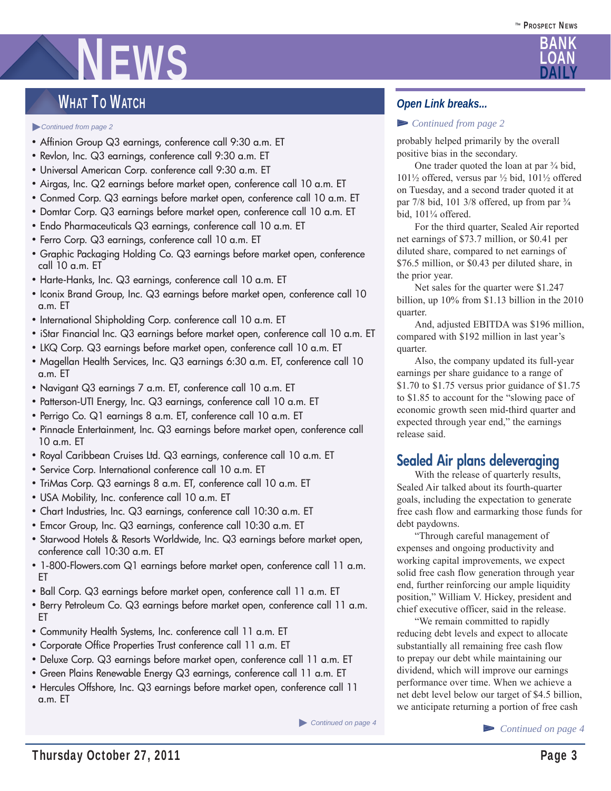# **NEWS**

## WHAT TO WATCH

#### ► *Continued from page 2*

- Affinion Group Q3 earnings, conference call 9:30 a.m. ET
- Revlon, Inc. Q3 earnings, conference call 9:30 a.m. ET
- Universal American Corp. conference call 9:30 a.m. ET
- Airgas, Inc. Q2 earnings before market open, conference call 10 a.m. ET
- Conmed Corp. Q3 earnings before market open, conference call 10 a.m. ET
- Domtar Corp. Q3 earnings before market open, conference call 10 a.m. ET
- Endo Pharmaceuticals Q3 earnings, conference call 10 a.m. ET
- Ferro Corp. Q3 earnings, conference call 10 a.m. ET
- Graphic Packaging Holding Co. Q3 earnings before market open, conference call 10 a.m. ET
- Harte-Hanks, Inc. Q3 earnings, conference call 10 a.m. ET
- Iconix Brand Group, Inc. Q3 earnings before market open, conference call 10 a.m. ET
- International Shipholding Corp. conference call 10 a.m. ET
- iStar Financial Inc. Q3 earnings before market open, conference call 10 a.m. ET
- LKQ Corp. Q3 earnings before market open, conference call 10 a.m. ET
- Magellan Health Services, Inc. Q3 earnings 6:30 a.m. ET, conference call 10 a.m. ET
- Navigant Q3 earnings 7 a.m. ET, conference call 10 a.m. ET
- Patterson-UTI Energy, Inc. Q3 earnings, conference call 10 a.m. ET
- Perrigo Co. Q1 earnings 8 a.m. ET, conference call 10 a.m. ET
- Pinnacle Entertainment, Inc. Q3 earnings before market open, conference call 10 a.m. ET
- Royal Caribbean Cruises Ltd. Q3 earnings, conference call 10 a.m. ET
- Service Corp. International conference call 10 a.m. ET
- TriMas Corp. Q3 earnings 8 a.m. ET, conference call 10 a.m. ET
- USA Mobility, Inc. conference call 10 a.m. ET
- Chart Industries, Inc. Q3 earnings, conference call 10:30 a.m. ET
- Emcor Group, Inc. Q3 earnings, conference call 10:30 a.m. ET
- Starwood Hotels & Resorts Worldwide, Inc. Q3 earnings before market open, conference call 10:30 a.m. ET
- 1-800-Flowers.com Q1 earnings before market open, conference call 11 a.m. ET
- Ball Corp. Q3 earnings before market open, conference call 11 a.m. ET
- Berry Petroleum Co. Q3 earnings before market open, conference call 11 a.m. ET
- Community Health Systems, Inc. conference call 11 a.m. ET
- Corporate Office Properties Trust conference call 11 a.m. ET
- Deluxe Corp. Q3 earnings before market open, conference call 11 a.m. ET
- Green Plains Renewable Energy Q3 earnings, conference call 11 a.m. ET
- Hercules Offshore, Inc. Q3 earnings before market open, conference call 11 a.m. ET

► *Continued on page 4*

#### *Open Link breaks...*

#### ▻ *Continued from page 2*

probably helped primarily by the overall positive bias in the secondary.

One trader quoted the loan at par  $\frac{3}{4}$  bid, 101½ offered, versus par ½ bid, 101½ offered on Tuesday, and a second trader quoted it at par 7/8 bid, 101 3/8 offered, up from par  $\frac{3}{4}$ bid, 101¼ offered.

 For the third quarter, Sealed Air reported net earnings of \$73.7 million, or \$0.41 per diluted share, compared to net earnings of \$76.5 million, or \$0.43 per diluted share, in the prior year.

 Net sales for the quarter were \$1.247 billion, up 10% from \$1.13 billion in the 2010 quarter.

 And, adjusted EBITDA was \$196 million, compared with \$192 million in last year's quarter.

 Also, the company updated its full-year earnings per share guidance to a range of \$1.70 to \$1.75 versus prior guidance of \$1.75 to \$1.85 to account for the "slowing pace of economic growth seen mid-third quarter and expected through year end," the earnings release said.

## **Sealed Air plans deleveraging**

 With the release of quarterly results, Sealed Air talked about its fourth-quarter goals, including the expectation to generate free cash flow and earmarking those funds for debt paydowns.

 "Through careful management of expenses and ongoing productivity and working capital improvements, we expect solid free cash flow generation through year end, further reinforcing our ample liquidity position," William V. Hickey, president and chief executive officer, said in the release.

 "We remain committed to rapidly reducing debt levels and expect to allocate substantially all remaining free cash flow to prepay our debt while maintaining our dividend, which will improve our earnings performance over time. When we achieve a net debt level below our target of \$4.5 billion, we anticipate returning a portion of free cash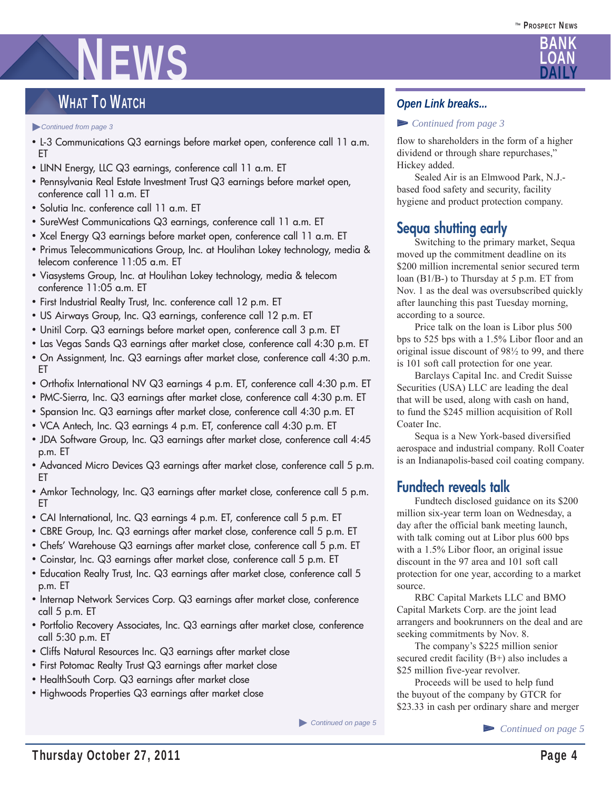# NEWS

## WHAT TO WATCH

► *Continued from page 3*

- L-3 Communications Q3 earnings before market open, conference call 11 a.m. ET
- LINN Energy, LLC Q3 earnings, conference call 11 a.m. ET
- Pennsylvania Real Estate Investment Trust Q3 earnings before market open, conference call 11 a.m. ET
- Solutia Inc. conference call 11 a.m. ET
- SureWest Communications Q3 earnings, conference call 11 a.m. ET
- Xcel Energy Q3 earnings before market open, conference call 11 a.m. ET
- Primus Telecommunications Group, Inc. at Houlihan Lokey technology, media & telecom conference 11:05 a.m. ET
- Viasystems Group, Inc. at Houlihan Lokey technology, media & telecom conference 11:05 a.m. ET
- First Industrial Realty Trust, Inc. conference call 12 p.m. ET
- US Airways Group, Inc. Q3 earnings, conference call 12 p.m. ET
- Unitil Corp. Q3 earnings before market open, conference call 3 p.m. ET
- Las Vegas Sands Q3 earnings after market close, conference call 4:30 p.m. ET
- On Assignment, Inc. Q3 earnings after market close, conference call 4:30 p.m. ET
- Orthofix International NV Q3 earnings 4 p.m. ET, conference call 4:30 p.m. ET
- PMC-Sierra, Inc. Q3 earnings after market close, conference call 4:30 p.m. ET
- Spansion Inc. Q3 earnings after market close, conference call 4:30 p.m. ET
- VCA Antech, Inc. Q3 earnings 4 p.m. ET, conference call 4:30 p.m. ET
- JDA Software Group, Inc. Q3 earnings after market close, conference call 4:45 p.m. ET
- Advanced Micro Devices Q3 earnings after market close, conference call 5 p.m. ET
- Amkor Technology, Inc. Q3 earnings after market close, conference call 5 p.m. ET
- CAI International, Inc. Q3 earnings 4 p.m. ET, conference call 5 p.m. ET
- CBRE Group, Inc. Q3 earnings after market close, conference call 5 p.m. ET
- Chefs' Warehouse Q3 earnings after market close, conference call 5 p.m. ET
- Coinstar, Inc. Q3 earnings after market close, conference call 5 p.m. ET
- Education Realty Trust, Inc. Q3 earnings after market close, conference call 5 p.m. ET
- Internap Network Services Corp. Q3 earnings after market close, conference call 5 p.m. ET
- Portfolio Recovery Associates, Inc. Q3 earnings after market close, conference call 5:30 p.m. ET
- Cliffs Natural Resources Inc. Q3 earnings after market close
- First Potomac Realty Trust Q3 earnings after market close
- HealthSouth Corp. Q3 earnings after market close
- Highwoods Properties Q3 earnings after market close

► *Continued on page 5*

### *Open Link breaks...*

#### ▻ *Continued from page 3*

flow to shareholders in the form of a higher dividend or through share repurchases," Hickey added.

 Sealed Air is an Elmwood Park, N.J. based food safety and security, facility hygiene and product protection company.

## **Sequa shutting early**

 Switching to the primary market, Sequa moved up the commitment deadline on its \$200 million incremental senior secured term loan (B1/B-) to Thursday at 5 p.m. ET from Nov. 1 as the deal was oversubscribed quickly after launching this past Tuesday morning, according to a source.

 Price talk on the loan is Libor plus 500 bps to 525 bps with a 1.5% Libor floor and an original issue discount of 98½ to 99, and there is 101 soft call protection for one year.

 Barclays Capital Inc. and Credit Suisse Securities (USA) LLC are leading the deal that will be used, along with cash on hand, to fund the \$245 million acquisition of Roll Coater Inc.

 Sequa is a New York-based diversified aerospace and industrial company. Roll Coater is an Indianapolis-based coil coating company.

## **Fundtech reveals talk**

 Fundtech disclosed guidance on its \$200 million six-year term loan on Wednesday, a day after the official bank meeting launch, with talk coming out at Libor plus 600 bps with a 1.5% Libor floor, an original issue discount in the 97 area and 101 soft call protection for one year, according to a market source.

 RBC Capital Markets LLC and BMO Capital Markets Corp. are the joint lead arrangers and bookrunners on the deal and are seeking commitments by Nov. 8.

 The company's \$225 million senior secured credit facility (B+) also includes a \$25 million five-year revolver.

 Proceeds will be used to help fund the buyout of the company by GTCR for \$23.33 in cash per ordinary share and merger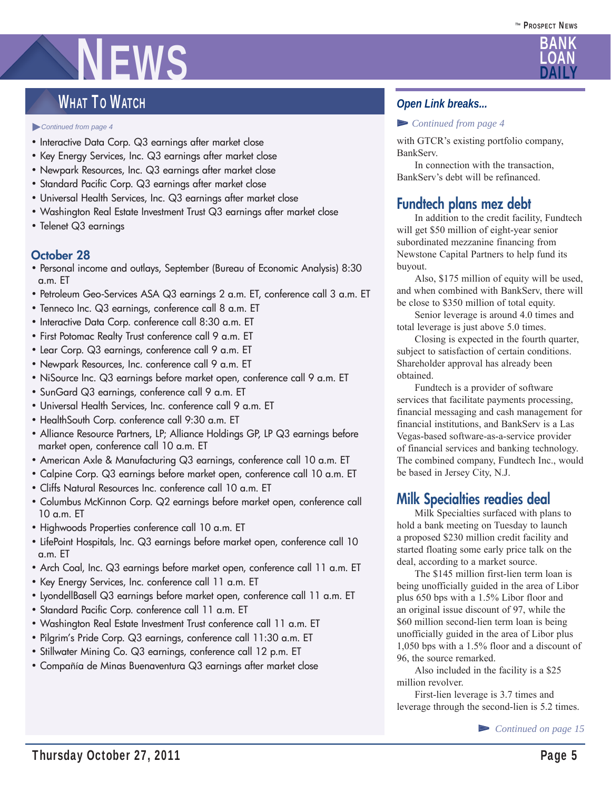## WHAT TO WATCH

#### ► *Continued from page 4*

- Interactive Data Corp. Q3 earnings after market close
- Key Energy Services, Inc. Q3 earnings after market close
- Newpark Resources, Inc. Q3 earnings after market close
- Standard Pacific Corp. Q3 earnings after market close
- Universal Health Services, Inc. Q3 earnings after market close
- Washington Real Estate Investment Trust Q3 earnings after market close
- Telenet Q3 earnings

#### **October 28**

- Personal income and outlays, September (Bureau of Economic Analysis) 8:30 a.m. ET
- Petroleum Geo-Services ASA Q3 earnings 2 a.m. ET, conference call 3 a.m. ET
- Tenneco Inc. Q3 earnings, conference call 8 a.m. ET
- Interactive Data Corp. conference call 8:30 a.m. ET
- First Potomac Realty Trust conference call 9 a.m. ET
- Lear Corp. Q3 earnings, conference call 9 a.m. ET
- Newpark Resources, Inc. conference call 9 a.m. ET
- NiSource Inc. Q3 earnings before market open, conference call 9 a.m. ET
- SunGard Q3 earnings, conference call 9 a.m. ET
- Universal Health Services, Inc. conference call 9 a.m. ET
- HealthSouth Corp. conference call 9:30 a.m. ET
- Alliance Resource Partners, LP; Alliance Holdings GP, LP Q3 earnings before market open, conference call 10 a.m. ET
- American Axle & Manufacturing Q3 earnings, conference call 10 a.m. ET
- Calpine Corp. Q3 earnings before market open, conference call 10 a.m. ET
- Cliffs Natural Resources Inc. conference call 10 a.m. ET
- Columbus McKinnon Corp. Q2 earnings before market open, conference call 10 a.m. ET
- Highwoods Properties conference call 10 a.m. ET
- LifePoint Hospitals, Inc. Q3 earnings before market open, conference call 10 a.m. ET
- Arch Coal, Inc. Q3 earnings before market open, conference call 11 a.m. ET
- Key Energy Services, Inc. conference call 11 a.m. ET
- LyondellBasell Q3 earnings before market open, conference call 11 a.m. ET
- Standard Pacific Corp. conference call 11 a.m. ET
- Washington Real Estate Investment Trust conference call 11 a.m. ET
- Pilgrim's Pride Corp. Q3 earnings, conference call 11:30 a.m. ET
- Stillwater Mining Co. Q3 earnings, conference call 12 p.m. ET
- Compañía de Minas Buenaventura Q3 earnings after market close

### *Open Link breaks...*

#### ▻ *Continued from page 4*

with GTCR's existing portfolio company, BankServ.

 In connection with the transaction, BankServ's debt will be refinanced.

## **Fundtech plans mez debt**

 In addition to the credit facility, Fundtech will get \$50 million of eight-year senior subordinated mezzanine financing from Newstone Capital Partners to help fund its buyout.

 Also, \$175 million of equity will be used, and when combined with BankServ, there will be close to \$350 million of total equity.

 Senior leverage is around 4.0 times and total leverage is just above 5.0 times.

 Closing is expected in the fourth quarter, subject to satisfaction of certain conditions. Shareholder approval has already been obtained.

 Fundtech is a provider of software services that facilitate payments processing, financial messaging and cash management for financial institutions, and BankServ is a Las Vegas-based software-as-a-service provider of financial services and banking technology. The combined company, Fundtech Inc., would be based in Jersey City, N.J.

### **Milk Specialties readies deal**

 Milk Specialties surfaced with plans to hold a bank meeting on Tuesday to launch a proposed \$230 million credit facility and started floating some early price talk on the deal, according to a market source.

 The \$145 million first-lien term loan is being unofficially guided in the area of Libor plus 650 bps with a 1.5% Libor floor and an original issue discount of 97, while the \$60 million second-lien term loan is being unofficially guided in the area of Libor plus 1,050 bps with a 1.5% floor and a discount of 96, the source remarked.

 Also included in the facility is a \$25 million revolver.

 First-lien leverage is 3.7 times and leverage through the second-lien is 5.2 times.

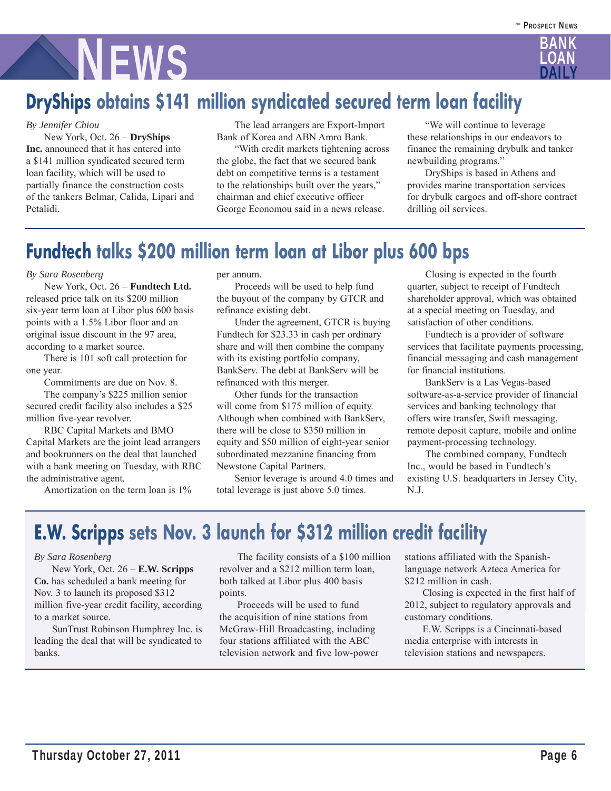

# **DryShips obtains \$141 million syndicated secured term loan facility**

#### *By Jennifer Chiou*

 New York, Oct. 26 – **DryShips Inc.** announced that it has entered into a \$141 million syndicated secured term loan facility, which will be used to partially finance the construction costs of the tankers Belmar, Calida, Lipari and Petalidi.

 The lead arrangers are Export-Import Bank of Korea and ABN Amro Bank.

 "With credit markets tightening across the globe, the fact that we secured bank debt on competitive terms is a testament to the relationships built over the years," chairman and chief executive officer George Economou said in a news release.

 "We will continue to leverage these relationships in our endeavors to finance the remaining drybulk and tanker newbuilding programs."

 DryShips is based in Athens and provides marine transportation services for drybulk cargoes and off-shore contract drilling oil services.

# **Fundtech talks \$200 million term loan at Libor plus 600 bps**

#### *By Sara Rosenberg*

 New York, Oct. 26 – **Fundtech Ltd.** released price talk on its \$200 million six-year term loan at Libor plus 600 basis points with a 1.5% Libor floor and an original issue discount in the 97 area, according to a market source.

 There is 101 soft call protection for one year.

Commitments are due on Nov. 8.

 The company's \$225 million senior secured credit facility also includes a \$25 million five-year revolver.

 RBC Capital Markets and BMO Capital Markets are the joint lead arrangers and bookrunners on the deal that launched with a bank meeting on Tuesday, with RBC the administrative agent.

Amortization on the term loan is 1%

per annum.

 Proceeds will be used to help fund the buyout of the company by GTCR and refinance existing debt.

 Under the agreement, GTCR is buying Fundtech for \$23.33 in cash per ordinary share and will then combine the company with its existing portfolio company, BankServ. The debt at BankServ will be refinanced with this merger.

 Other funds for the transaction will come from \$175 million of equity. Although when combined with BankServ, there will be close to \$350 million in equity and \$50 million of eight-year senior subordinated mezzanine financing from Newstone Capital Partners.

 Senior leverage is around 4.0 times and total leverage is just above 5.0 times.

 Closing is expected in the fourth quarter, subject to receipt of Fundtech shareholder approval, which was obtained at a special meeting on Tuesday, and satisfaction of other conditions.

 Fundtech is a provider of software services that facilitate payments processing, financial messaging and cash management for financial institutions.

 BankServ is a Las Vegas-based software-as-a-service provider of financial services and banking technology that offers wire transfer, Swift messaging, remote deposit capture, mobile and online payment-processing technology.

 The combined company, Fundtech Inc., would be based in Fundtech's existing U.S. headquarters in Jersey City, N.J.

# **E.W. Scripps sets Nov. 3 launch for \$312 million credit facility**

#### *By Sara Rosenberg*

 New York, Oct. 26 – **E.W. Scripps Co.** has scheduled a bank meeting for Nov. 3 to launch its proposed \$312 million five-year credit facility, according to a market source.

 SunTrust Robinson Humphrey Inc. is leading the deal that will be syndicated to banks.

 The facility consists of a \$100 million revolver and a \$212 million term loan, both talked at Libor plus 400 basis points.

 Proceeds will be used to fund the acquisition of nine stations from McGraw-Hill Broadcasting, including four stations affiliated with the ABC television network and five low-power stations affiliated with the Spanishlanguage network Azteca America for \$212 million in cash.

 Closing is expected in the first half of 2012, subject to regulatory approvals and customary conditions.

 E.W. Scripps is a Cincinnati-based media enterprise with interests in television stations and newspapers.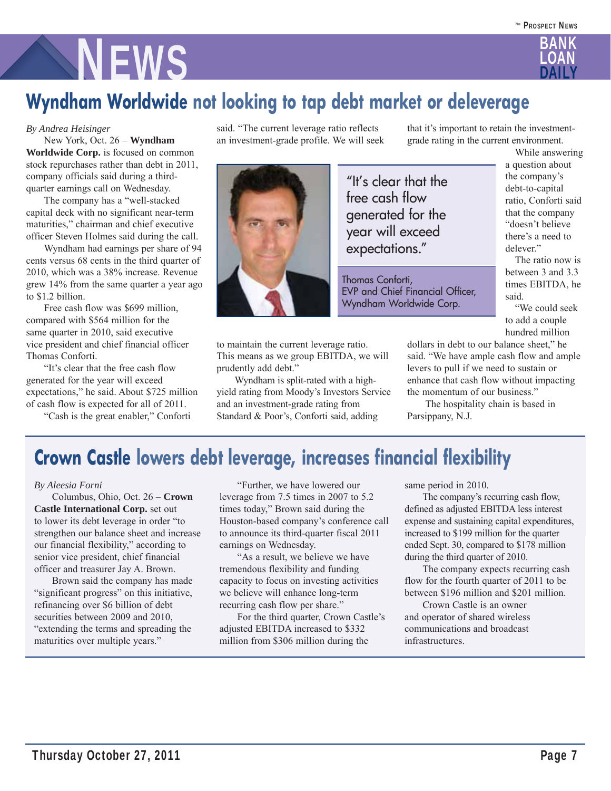

# **Wyndham Worldwide not looking to tap debt market or deleverage**

#### *By Andrea Heisinger*

 New York, Oct. 26 – **Wyndham Worldwide Corp.** is focused on common stock repurchases rather than debt in 2011, company officials said during a thirdquarter earnings call on Wednesday.

 The company has a "well-stacked capital deck with no significant near-term maturities," chairman and chief executive officer Steven Holmes said during the call.

 Wyndham had earnings per share of 94 cents versus 68 cents in the third quarter of 2010, which was a 38% increase. Revenue grew 14% from the same quarter a year ago to \$1.2 billion.

 Free cash flow was \$699 million, compared with \$564 million for the same quarter in 2010, said executive vice president and chief financial officer Thomas Conforti.

 "It's clear that the free cash flow generated for the year will exceed expectations," he said. About \$725 million of cash flow is expected for all of 2011.

"Cash is the great enabler," Conforti

said. "The current leverage ratio reflects an investment-grade profile. We will seek



to maintain the current leverage ratio. This means as we group EBITDA, we will prudently add debt."

 Wyndham is split-rated with a highyield rating from Moody's Investors Service and an investment-grade rating from Standard & Poor's, Conforti said, adding

that it's important to retain the investmentgrade rating in the current environment.

"It's clear that the free cash flow generated for the year will exceed expectations."

Thomas Conforti, EVP and Chief Financial Officer, Wyndham Worldwide Corp.

 While answering a question about the company's debt-to-capital ratio, Conforti said that the company "doesn't believe there's a need to delever."

 The ratio now is between 3 and 3.3 times EBITDA, he said.

 "We could seek to add a couple hundred million

dollars in debt to our balance sheet," he said. "We have ample cash flow and ample levers to pull if we need to sustain or enhance that cash flow without impacting the momentum of our business."

 The hospitality chain is based in Parsippany, N.J.

## **Crown Castle lowers debt leverage, increases financial flexibility**

#### *By Aleesia Forni*

 Columbus, Ohio, Oct. 26 – **Crown Castle International Corp.** set out to lower its debt leverage in order "to strengthen our balance sheet and increase our financial flexibility," according to senior vice president, chief financial officer and treasurer Jay A. Brown.

 Brown said the company has made "significant progress" on this initiative, refinancing over \$6 billion of debt securities between 2009 and 2010, "extending the terms and spreading the maturities over multiple years."

 "Further, we have lowered our leverage from 7.5 times in 2007 to 5.2 times today," Brown said during the Houston-based company's conference call to announce its third-quarter fiscal 2011 earnings on Wednesday.

 "As a result, we believe we have tremendous flexibility and funding capacity to focus on investing activities we believe will enhance long-term recurring cash flow per share."

 For the third quarter, Crown Castle's adjusted EBITDA increased to \$332 million from \$306 million during the

same period in 2010.

 The company's recurring cash flow, defined as adjusted EBITDA less interest expense and sustaining capital expenditures, increased to \$199 million for the quarter ended Sept. 30, compared to \$178 million during the third quarter of 2010.

 The company expects recurring cash flow for the fourth quarter of 2011 to be between \$196 million and \$201 million.

 Crown Castle is an owner and operator of shared wireless communications and broadcast infrastructures.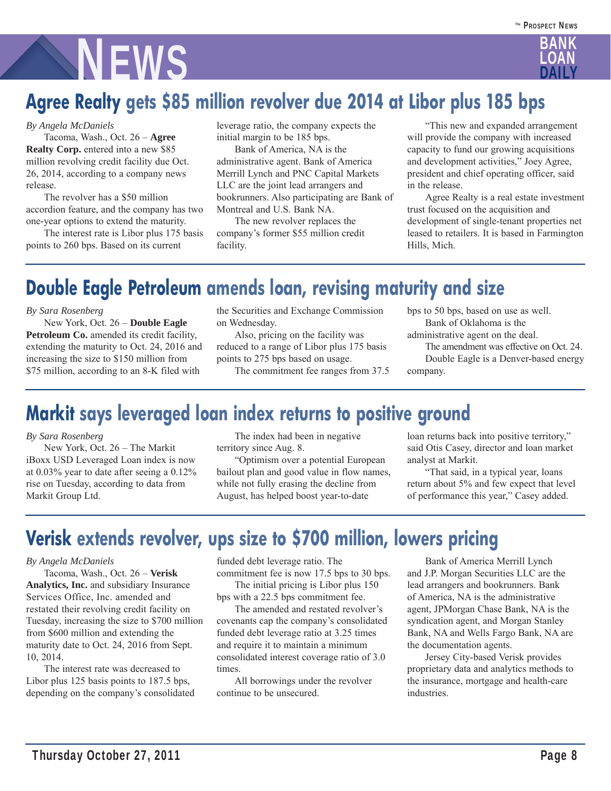# **NEWS**

# **Agree Realty gets \$85 million revolver due 2014 at Libor plus 185 bps**

#### *By Angela McDaniels*

 Tacoma, Wash., Oct. 26 – **Agree Realty Corp.** entered into a new \$85 million revolving credit facility due Oct. 26, 2014, according to a company news release.

 The revolver has a \$50 million accordion feature, and the company has two one-year options to extend the maturity.

 The interest rate is Libor plus 175 basis points to 260 bps. Based on its current

leverage ratio, the company expects the initial margin to be 185 bps.

 Bank of America, NA is the administrative agent. Bank of America Merrill Lynch and PNC Capital Markets LLC are the joint lead arrangers and bookrunners. Also participating are Bank of Montreal and U.S. Bank NA.

 The new revolver replaces the company's former \$55 million credit facility.

 "This new and expanded arrangement will provide the company with increased capacity to fund our growing acquisitions and development activities," Joey Agree, president and chief operating officer, said in the release.

 Agree Realty is a real estate investment trust focused on the acquisition and development of single-tenant properties net leased to retailers. It is based in Farmington Hills, Mich.

# **Double Eagle Petroleum amends loan, revising maturity and size**

*By Sara Rosenberg*

 New York, Oct. 26 – **Double Eagle**  Petroleum Co. amended its credit facility, extending the maturity to Oct. 24, 2016 and increasing the size to \$150 million from \$75 million, according to an 8-K filed with

the Securities and Exchange Commission on Wednesday.

 Also, pricing on the facility was reduced to a range of Libor plus 175 basis points to 275 bps based on usage.

The commitment fee ranges from 37.5

bps to 50 bps, based on use as well. Bank of Oklahoma is the

administrative agent on the deal. The amendment was effective on Oct. 24. Double Eagle is a Denver-based energy

company.

# **Markit says leveraged loan index returns to positive ground**

#### *By Sara Rosenberg*

 New York, Oct. 26 – The Markit iBoxx USD Leveraged Loan index is now at 0.03% year to date after seeing a 0.12% rise on Tuesday, according to data from Markit Group Ltd.

 The index had been in negative territory since Aug. 8.

 "Optimism over a potential European bailout plan and good value in flow names, while not fully erasing the decline from August, has helped boost year-to-date

loan returns back into positive territory," said Otis Casey, director and loan market analyst at Markit.

 "That said, in a typical year, loans return about 5% and few expect that level of performance this year," Casey added.

# **Verisk extends revolver, ups size to \$700 million, lowers pricing**

#### *By Angela McDaniels*

 Tacoma, Wash., Oct. 26 – **Verisk Analytics, Inc.** and subsidiary Insurance Services Office, Inc. amended and restated their revolving credit facility on Tuesday, increasing the size to \$700 million from \$600 million and extending the maturity date to Oct. 24, 2016 from Sept. 10, 2014.

 The interest rate was decreased to Libor plus 125 basis points to 187.5 bps, depending on the company's consolidated

funded debt leverage ratio. The commitment fee is now 17.5 bps to 30 bps.

 The initial pricing is Libor plus 150 bps with a 22.5 bps commitment fee.

 The amended and restated revolver's covenants cap the company's consolidated funded debt leverage ratio at 3.25 times and require it to maintain a minimum consolidated interest coverage ratio of 3.0 times.

 All borrowings under the revolver continue to be unsecured.

 Bank of America Merrill Lynch and J.P. Morgan Securities LLC are the lead arrangers and bookrunners. Bank of America, NA is the administrative agent, JPMorgan Chase Bank, NA is the syndication agent, and Morgan Stanley Bank, NA and Wells Fargo Bank, NA are the documentation agents.

 Jersey City-based Verisk provides proprietary data and analytics methods to the insurance, mortgage and health-care industries.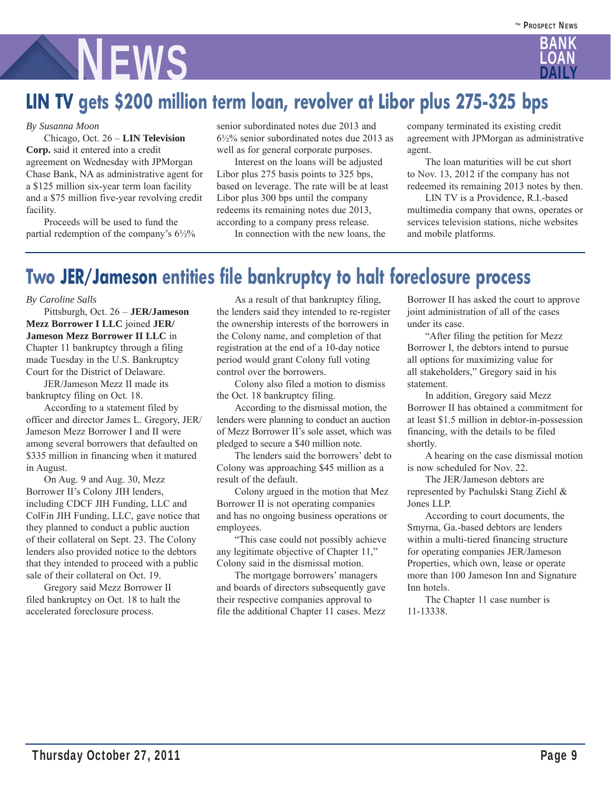# **NEWS**

# **LIN TV gets \$200 million term loan, revolver at Libor plus 275-325 bps**

#### *By Susanna Moon*

 Chicago, Oct. 26 – **LIN Television Corp.** said it entered into a credit agreement on Wednesday with JPMorgan Chase Bank, NA as administrative agent for a \$125 million six-year term loan facility and a \$75 million five-year revolving credit facility.

 Proceeds will be used to fund the partial redemption of the company's  $6\frac{1}{2}\%$  senior subordinated notes due 2013 and 6½% senior subordinated notes due 2013 as well as for general corporate purposes.

 Interest on the loans will be adjusted Libor plus 275 basis points to 325 bps, based on leverage. The rate will be at least Libor plus 300 bps until the company redeems its remaining notes due 2013, according to a company press release.

In connection with the new loans, the

company terminated its existing credit agreement with JPMorgan as administrative agent.

 The loan maturities will be cut short to Nov. 13, 2012 if the company has not redeemed its remaining 2013 notes by then.

 LIN TV is a Providence, R.I.-based multimedia company that owns, operates or services television stations, niche websites and mobile platforms.

## **Two JER/Jameson entities file bankruptcy to halt foreclosure process**

#### *By Caroline Salls*

 Pittsburgh, Oct. 26 – **JER/Jameson Mezz Borrower I LLC** joined **JER/ Jameson Mezz Borrower II LLC** in Chapter 11 bankruptcy through a filing made Tuesday in the U.S. Bankruptcy Court for the District of Delaware.

 JER/Jameson Mezz II made its bankruptcy filing on Oct. 18.

 According to a statement filed by officer and director James L. Gregory, JER/ Jameson Mezz Borrower I and II were among several borrowers that defaulted on \$335 million in financing when it matured in August.

 On Aug. 9 and Aug. 30, Mezz Borrower II's Colony JIH lenders, including CDCF JIH Funding, LLC and ColFin JIH Funding, LLC, gave notice that they planned to conduct a public auction of their collateral on Sept. 23. The Colony lenders also provided notice to the debtors that they intended to proceed with a public sale of their collateral on Oct. 19.

 Gregory said Mezz Borrower II filed bankruptcy on Oct. 18 to halt the accelerated foreclosure process.

 As a result of that bankruptcy filing, the lenders said they intended to re-register the ownership interests of the borrowers in the Colony name, and completion of that registration at the end of a 10-day notice period would grant Colony full voting control over the borrowers.

 Colony also filed a motion to dismiss the Oct. 18 bankruptcy filing.

 According to the dismissal motion, the lenders were planning to conduct an auction of Mezz Borrower II's sole asset, which was pledged to secure a \$40 million note.

 The lenders said the borrowers' debt to Colony was approaching \$45 million as a result of the default.

 Colony argued in the motion that Mez Borrower II is not operating companies and has no ongoing business operations or employees.

 "This case could not possibly achieve any legitimate objective of Chapter 11," Colony said in the dismissal motion.

 The mortgage borrowers' managers and boards of directors subsequently gave their respective companies approval to file the additional Chapter 11 cases. Mezz Borrower II has asked the court to approve joint administration of all of the cases under its case.

 "After filing the petition for Mezz Borrower I, the debtors intend to pursue all options for maximizing value for all stakeholders," Gregory said in his statement.

 In addition, Gregory said Mezz Borrower II has obtained a commitment for at least \$1.5 million in debtor-in-possession financing, with the details to be filed shortly.

 A hearing on the case dismissal motion is now scheduled for Nov. 22.

 The JER/Jameson debtors are represented by Pachulski Stang Ziehl & Jones LLP.

 According to court documents, the Smyrna, Ga.-based debtors are lenders within a multi-tiered financing structure for operating companies JER/Jameson Properties, which own, lease or operate more than 100 Jameson Inn and Signature Inn hotels.

 The Chapter 11 case number is 11-13338.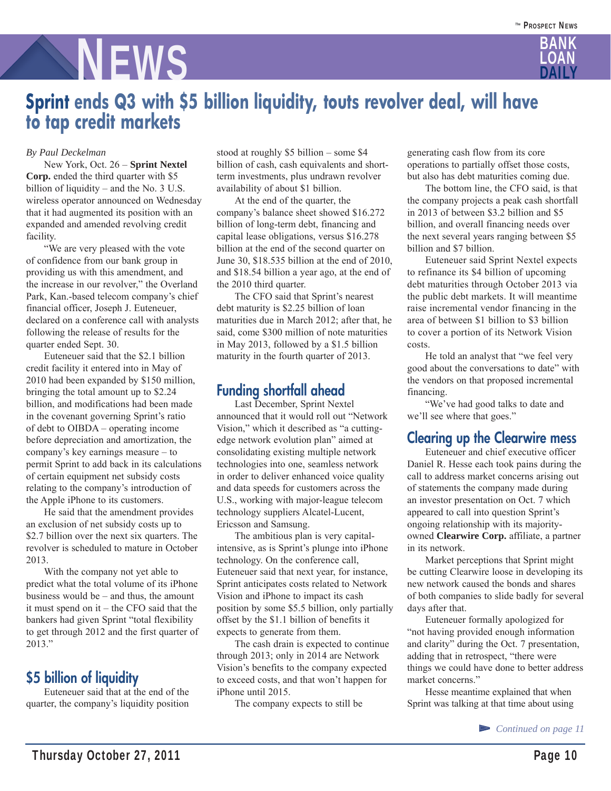

## **Sprint ends Q3 with \$5 billion liquidity, touts revolver deal, will have to tap credit markets**

#### *By Paul Deckelman*

 New York, Oct. 26 – **Sprint Nextel Corp.** ended the third quarter with \$5 billion of liquidity – and the No. 3 U.S. wireless operator announced on Wednesday that it had augmented its position with an expanded and amended revolving credit facility.

 "We are very pleased with the vote of confidence from our bank group in providing us with this amendment, and the increase in our revolver," the Overland Park, Kan.-based telecom company's chief financial officer, Joseph J. Euteneuer, declared on a conference call with analysts following the release of results for the quarter ended Sept. 30.

 Euteneuer said that the \$2.1 billion credit facility it entered into in May of 2010 had been expanded by \$150 million, bringing the total amount up to \$2.24 billion, and modifications had been made in the covenant governing Sprint's ratio of debt to OIBDA – operating income before depreciation and amortization, the company's key earnings measure – to permit Sprint to add back in its calculations of certain equipment net subsidy costs relating to the company's introduction of the Apple iPhone to its customers.

 He said that the amendment provides an exclusion of net subsidy costs up to \$2.7 billion over the next six quarters. The revolver is scheduled to mature in October 2013.

 With the company not yet able to predict what the total volume of its iPhone business would be – and thus, the amount it must spend on it – the CFO said that the bankers had given Sprint "total flexibility to get through 2012 and the first quarter of 2013."

## **\$5 billion of liquidity**

 Euteneuer said that at the end of the quarter, the company's liquidity position stood at roughly \$5 billion – some \$4 billion of cash, cash equivalents and shortterm investments, plus undrawn revolver availability of about \$1 billion.

 At the end of the quarter, the company's balance sheet showed \$16.272 billion of long-term debt, financing and capital lease obligations, versus \$16.278 billion at the end of the second quarter on June 30, \$18.535 billion at the end of 2010, and \$18.54 billion a year ago, at the end of the 2010 third quarter.

 The CFO said that Sprint's nearest debt maturity is \$2.25 billion of loan maturities due in March 2012; after that, he said, come \$300 million of note maturities in May 2013, followed by a \$1.5 billion maturity in the fourth quarter of 2013.

## **Funding shortfall ahead**

Last December, Sprint Nextel announced that it would roll out "Network Vision," which it described as "a cuttingedge network evolution plan" aimed at consolidating existing multiple network technologies into one, seamless network in order to deliver enhanced voice quality and data speeds for customers across the U.S., working with major-league telecom technology suppliers Alcatel-Lucent, Ericsson and Samsung.

 The ambitious plan is very capitalintensive, as is Sprint's plunge into iPhone technology. On the conference call, Euteneuer said that next year, for instance, Sprint anticipates costs related to Network Vision and iPhone to impact its cash position by some \$5.5 billion, only partially offset by the \$1.1 billion of benefits it expects to generate from them.

 The cash drain is expected to continue through 2013; only in 2014 are Network Vision's benefits to the company expected to exceed costs, and that won't happen for iPhone until 2015.

The company expects to still be

generating cash flow from its core operations to partially offset those costs, but also has debt maturities coming due.

 The bottom line, the CFO said, is that the company projects a peak cash shortfall in 2013 of between \$3.2 billion and \$5 billion, and overall financing needs over the next several years ranging between \$5 billion and \$7 billion.

 Euteneuer said Sprint Nextel expects to refinance its \$4 billion of upcoming debt maturities through October 2013 via the public debt markets. It will meantime raise incremental vendor financing in the area of between \$1 billion to \$3 billion to cover a portion of its Network Vision costs.

 He told an analyst that "we feel very good about the conversations to date" with the vendors on that proposed incremental financing.

 "We've had good talks to date and we'll see where that goes."

### **Clearing up the Clearwire mess**

 Euteneuer and chief executive officer Daniel R. Hesse each took pains during the call to address market concerns arising out of statements the company made during an investor presentation on Oct. 7 which appeared to call into question Sprint's ongoing relationship with its majorityowned **Clearwire Corp.** affiliate, a partner in its network.

 Market perceptions that Sprint might be cutting Clearwire loose in developing its new network caused the bonds and shares of both companies to slide badly for several days after that.

 Euteneuer formally apologized for "not having provided enough information and clarity" during the Oct. 7 presentation, adding that in retrospect, "there were things we could have done to better address market concerns."

 Hesse meantime explained that when Sprint was talking at that time about using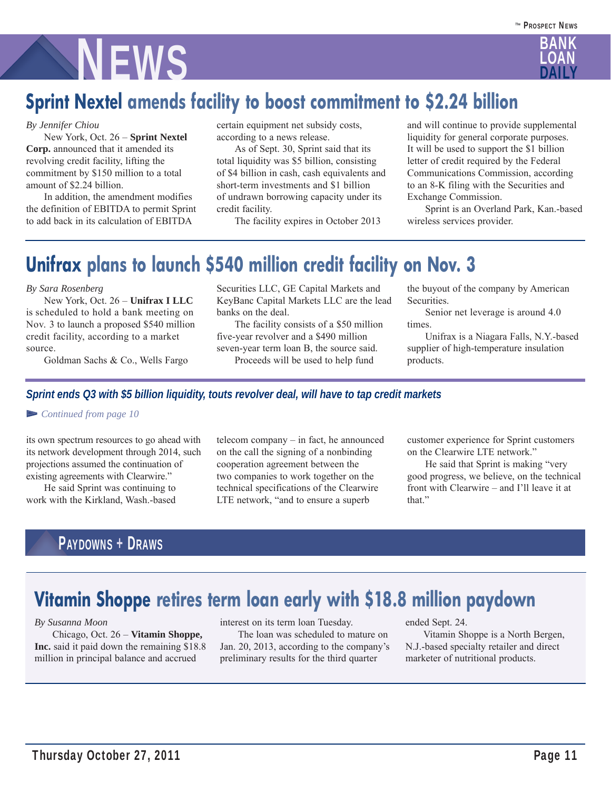

# **Sprint Nextel amends facility to boost commitment to \$2.24 billion**

#### *By Jennifer Chiou*

 New York, Oct. 26 – **Sprint Nextel Corp.** announced that it amended its revolving credit facility, lifting the commitment by \$150 million to a total amount of \$2.24 billion.

 In addition, the amendment modifies the definition of EBITDA to permit Sprint to add back in its calculation of EBITDA

certain equipment net subsidy costs, according to a news release.

 As of Sept. 30, Sprint said that its total liquidity was \$5 billion, consisting of \$4 billion in cash, cash equivalents and short-term investments and \$1 billion of undrawn borrowing capacity under its credit facility.

The facility expires in October 2013

and will continue to provide supplemental liquidity for general corporate purposes. It will be used to support the \$1 billion letter of credit required by the Federal Communications Commission, according to an 8-K filing with the Securities and Exchange Commission.

 Sprint is an Overland Park, Kan.-based wireless services provider.

# **Unifrax plans to launch \$540 million credit facility on Nov. 3**

#### *By Sara Rosenberg*

 New York, Oct. 26 – **Unifrax I LLC** is scheduled to hold a bank meeting on Nov. 3 to launch a proposed \$540 million credit facility, according to a market source.

Goldman Sachs & Co., Wells Fargo

Securities LLC, GE Capital Markets and KeyBanc Capital Markets LLC are the lead banks on the deal.

 The facility consists of a \$50 million five-year revolver and a \$490 million seven-year term loan B, the source said. Proceeds will be used to help fund

the buyout of the company by American Securities.

 Senior net leverage is around 4.0 times.

 Unifrax is a Niagara Falls, N.Y.-based supplier of high-temperature insulation products.

#### *Sprint ends Q3 with \$5 billion liquidity, touts revolver deal, will have to tap credit markets*

#### ▻ *Continued from page 10*

its own spectrum resources to go ahead with its network development through 2014, such projections assumed the continuation of existing agreements with Clearwire."

 He said Sprint was continuing to work with the Kirkland, Wash.-based telecom company – in fact, he announced on the call the signing of a nonbinding cooperation agreement between the two companies to work together on the technical specifications of the Clearwire LTE network, "and to ensure a superb

customer experience for Sprint customers on the Clearwire LTE network."

 He said that Sprint is making "very good progress, we believe, on the technical front with Clearwire – and I'll leave it at that"

## PAYDOWNS + DRAWS

## **Vitamin Shoppe retires term loan early with \$18.8 million paydown**

#### *By Susanna Moon*

 Chicago, Oct. 26 – **Vitamin Shoppe, Inc.** said it paid down the remaining \$18.8 million in principal balance and accrued

interest on its term loan Tuesday. The loan was scheduled to mature on Jan. 20, 2013, according to the company's preliminary results for the third quarter

ended Sept. 24.

 Vitamin Shoppe is a North Bergen, N.J.-based specialty retailer and direct marketer of nutritional products.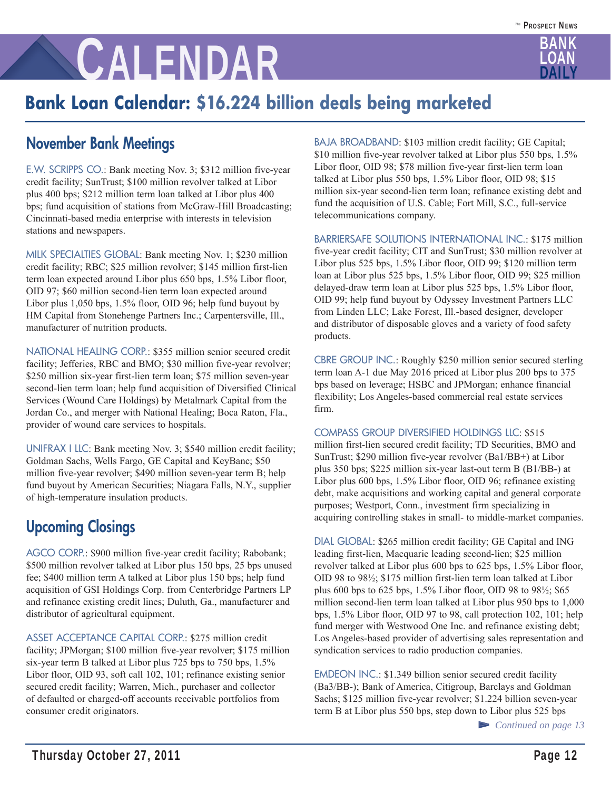

# **Bank Loan Calendar: \$16.224 billion deals being marketed**

## **November Bank Meetings**

E.W. SCRIPPS CO.: Bank meeting Nov. 3; \$312 million five-year credit facility; SunTrust; \$100 million revolver talked at Libor plus 400 bps; \$212 million term loan talked at Libor plus 400 bps; fund acquisition of stations from McGraw-Hill Broadcasting; Cincinnati-based media enterprise with interests in television stations and newspapers.

MILK SPECIALTIES GLOBAL: Bank meeting Nov. 1; \$230 million credit facility; RBC; \$25 million revolver; \$145 million first-lien term loan expected around Libor plus 650 bps, 1.5% Libor floor, OID 97; \$60 million second-lien term loan expected around Libor plus 1,050 bps, 1.5% floor, OID 96; help fund buyout by HM Capital from Stonehenge Partners Inc.; Carpentersville, Ill., manufacturer of nutrition products.

NATIONAL HEALING CORP.: \$355 million senior secured credit facility; Jefferies, RBC and BMO; \$30 million five-year revolver; \$250 million six-year first-lien term loan; \$75 million seven-year second-lien term loan; help fund acquisition of Diversified Clinical Services (Wound Care Holdings) by Metalmark Capital from the Jordan Co., and merger with National Healing; Boca Raton, Fla., provider of wound care services to hospitals.

UNIFRAX I LLC: Bank meeting Nov. 3; \$540 million credit facility; Goldman Sachs, Wells Fargo, GE Capital and KeyBanc; \$50 million five-year revolver; \$490 million seven-year term B; help fund buyout by American Securities; Niagara Falls, N.Y., supplier of high-temperature insulation products.

## **Upcoming Closings**

AGCO CORP.: \$900 million five-year credit facility; Rabobank; \$500 million revolver talked at Libor plus 150 bps, 25 bps unused fee; \$400 million term A talked at Libor plus 150 bps; help fund acquisition of GSI Holdings Corp. from Centerbridge Partners LP and refinance existing credit lines; Duluth, Ga., manufacturer and distributor of agricultural equipment.

ASSET ACCEPTANCE CAPITAL CORP.: \$275 million credit facility; JPMorgan; \$100 million five-year revolver; \$175 million six-year term B talked at Libor plus 725 bps to 750 bps, 1.5% Libor floor, OID 93, soft call 102, 101; refinance existing senior secured credit facility; Warren, Mich., purchaser and collector of defaulted or charged-off accounts receivable portfolios from consumer credit originators.

BAJA BROADBAND: \$103 million credit facility; GE Capital; \$10 million five-year revolver talked at Libor plus 550 bps, 1.5% Libor floor, OID 98; \$78 million five-year first-lien term loan talked at Libor plus 550 bps, 1.5% Libor floor, OID 98; \$15 million six-year second-lien term loan; refinance existing debt and fund the acquisition of U.S. Cable; Fort Mill, S.C., full-service telecommunications company.

BARRIERSAFE SOLUTIONS INTERNATIONAL INC.: \$175 million five-year credit facility; CIT and SunTrust; \$30 million revolver at Libor plus 525 bps, 1.5% Libor floor, OID 99; \$120 million term loan at Libor plus 525 bps, 1.5% Libor floor, OID 99; \$25 million delayed-draw term loan at Libor plus 525 bps, 1.5% Libor floor, OID 99; help fund buyout by Odyssey Investment Partners LLC from Linden LLC; Lake Forest, Ill.-based designer, developer and distributor of disposable gloves and a variety of food safety products.

CBRE GROUP INC.: Roughly \$250 million senior secured sterling term loan A-1 due May 2016 priced at Libor plus 200 bps to 375 bps based on leverage; HSBC and JPMorgan; enhance financial flexibility; Los Angeles-based commercial real estate services firm.

#### COMPASS GROUP DIVERSIFIED HOLDINGS LLC: \$515

million first-lien secured credit facility; TD Securities, BMO and SunTrust; \$290 million five-year revolver (Ba1/BB+) at Libor plus 350 bps; \$225 million six-year last-out term B (B1/BB-) at Libor plus 600 bps, 1.5% Libor floor, OID 96; refinance existing debt, make acquisitions and working capital and general corporate purposes; Westport, Conn., investment firm specializing in acquiring controlling stakes in small- to middle-market companies.

DIAL GLOBAL: \$265 million credit facility; GE Capital and ING leading first-lien, Macquarie leading second-lien; \$25 million revolver talked at Libor plus 600 bps to 625 bps, 1.5% Libor floor, OID 98 to 98½; \$175 million first-lien term loan talked at Libor plus 600 bps to 625 bps, 1.5% Libor floor, OID 98 to 98½; \$65 million second-lien term loan talked at Libor plus 950 bps to 1,000 bps, 1.5% Libor floor, OID 97 to 98, call protection 102, 101; help fund merger with Westwood One Inc. and refinance existing debt; Los Angeles-based provider of advertising sales representation and syndication services to radio production companies.

EMDEON INC.: \$1.349 billion senior secured credit facility (Ba3/BB-); Bank of America, Citigroup, Barclays and Goldman Sachs; \$125 million five-year revolver; \$1.224 billion seven-year term B at Libor plus 550 bps, step down to Libor plus 525 bps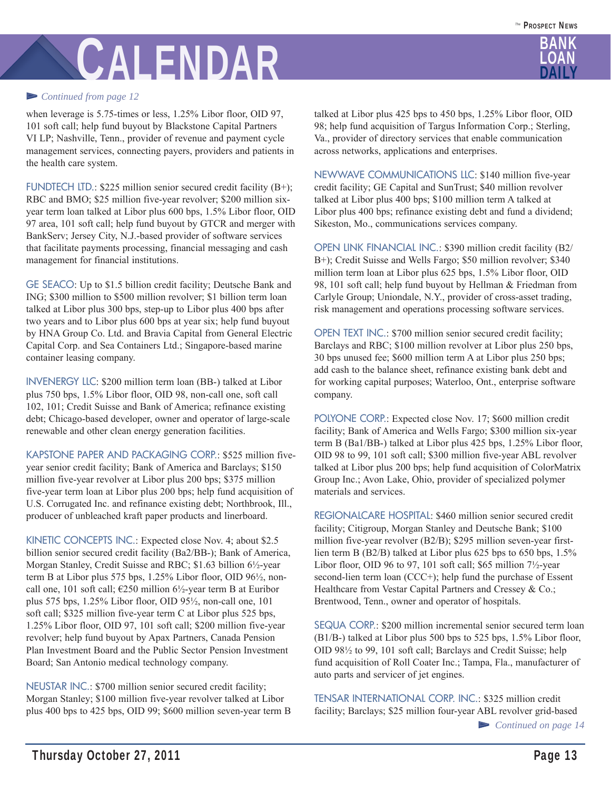

#### ▻ *Continued from page 12*

when leverage is 5.75-times or less, 1.25% Libor floor, OID 97, 101 soft call; help fund buyout by Blackstone Capital Partners VI LP; Nashville, Tenn., provider of revenue and payment cycle management services, connecting payers, providers and patients in the health care system.

FUNDTECH LTD.: \$225 million senior secured credit facility (B+); RBC and BMO; \$25 million five-year revolver; \$200 million sixyear term loan talked at Libor plus 600 bps, 1.5% Libor floor, OID 97 area, 101 soft call; help fund buyout by GTCR and merger with BankServ; Jersey City, N.J.-based provider of software services that facilitate payments processing, financial messaging and cash management for financial institutions.

GE SEACO: Up to \$1.5 billion credit facility; Deutsche Bank and ING; \$300 million to \$500 million revolver; \$1 billion term loan talked at Libor plus 300 bps, step-up to Libor plus 400 bps after two years and to Libor plus 600 bps at year six; help fund buyout by HNA Group Co. Ltd. and Bravia Capital from General Electric Capital Corp. and Sea Containers Ltd.; Singapore-based marine container leasing company.

INVENERGY LLC: \$200 million term loan (BB-) talked at Libor plus 750 bps, 1.5% Libor floor, OID 98, non-call one, soft call 102, 101; Credit Suisse and Bank of America; refinance existing debt; Chicago-based developer, owner and operator of large-scale renewable and other clean energy generation facilities.

KAPSTONE PAPER AND PACKAGING CORP.: \$525 million fiveyear senior credit facility; Bank of America and Barclays; \$150 million five-year revolver at Libor plus 200 bps; \$375 million five-year term loan at Libor plus 200 bps; help fund acquisition of U.S. Corrugated Inc. and refinance existing debt; Northbrook, Ill., producer of unbleached kraft paper products and linerboard.

KINETIC CONCEPTS INC.: Expected close Nov. 4; about \$2.5 billion senior secured credit facility (Ba2/BB-); Bank of America, Morgan Stanley, Credit Suisse and RBC; \$1.63 billion 6½-year term B at Libor plus 575 bps, 1.25% Libor floor, OID 96½, noncall one, 101 soft call;  $\epsilon$ 250 million 6½-year term B at Euribor plus 575 bps, 1.25% Libor floor, OID 95½, non-call one, 101 soft call; \$325 million five-year term C at Libor plus 525 bps, 1.25% Libor floor, OID 97, 101 soft call; \$200 million five-year revolver; help fund buyout by Apax Partners, Canada Pension Plan Investment Board and the Public Sector Pension Investment Board; San Antonio medical technology company.

NEUSTAR INC.: \$700 million senior secured credit facility; Morgan Stanley; \$100 million five-year revolver talked at Libor plus 400 bps to 425 bps, OID 99; \$600 million seven-year term B talked at Libor plus 425 bps to 450 bps, 1.25% Libor floor, OID 98; help fund acquisition of Targus Information Corp.; Sterling, Va., provider of directory services that enable communication across networks, applications and enterprises.

NEWWAVE COMMUNICATIONS LLC: \$140 million five-year credit facility; GE Capital and SunTrust; \$40 million revolver talked at Libor plus 400 bps; \$100 million term A talked at Libor plus 400 bps; refinance existing debt and fund a dividend; Sikeston, Mo., communications services company.

OPEN LINK FINANCIAL INC.: \$390 million credit facility (B2/ B+); Credit Suisse and Wells Fargo; \$50 million revolver; \$340 million term loan at Libor plus 625 bps, 1.5% Libor floor, OID 98, 101 soft call; help fund buyout by Hellman & Friedman from Carlyle Group; Uniondale, N.Y., provider of cross-asset trading, risk management and operations processing software services.

OPEN TEXT INC.: \$700 million senior secured credit facility; Barclays and RBC; \$100 million revolver at Libor plus 250 bps, 30 bps unused fee; \$600 million term A at Libor plus 250 bps; add cash to the balance sheet, refinance existing bank debt and for working capital purposes; Waterloo, Ont., enterprise software company.

POLYONE CORP.: Expected close Nov. 17; \$600 million credit facility; Bank of America and Wells Fargo; \$300 million six-year term B (Ba1/BB-) talked at Libor plus 425 bps, 1.25% Libor floor, OID 98 to 99, 101 soft call; \$300 million five-year ABL revolver talked at Libor plus 200 bps; help fund acquisition of ColorMatrix Group Inc.; Avon Lake, Ohio, provider of specialized polymer materials and services.

REGIONALCARE HOSPITAL: \$460 million senior secured credit facility; Citigroup, Morgan Stanley and Deutsche Bank; \$100 million five-year revolver (B2/B); \$295 million seven-year firstlien term B (B2/B) talked at Libor plus 625 bps to 650 bps, 1.5% Libor floor, OID 96 to 97, 101 soft call; \$65 million  $7\frac{1}{2}$ -year second-lien term loan (CCC+); help fund the purchase of Essent Healthcare from Vestar Capital Partners and Cressey & Co.; Brentwood, Tenn., owner and operator of hospitals.

SEQUA CORP.: \$200 million incremental senior secured term loan (B1/B-) talked at Libor plus 500 bps to 525 bps, 1.5% Libor floor, OID 98½ to 99, 101 soft call; Barclays and Credit Suisse; help fund acquisition of Roll Coater Inc.; Tampa, Fla., manufacturer of auto parts and servicer of jet engines.

TENSAR INTERNATIONAL CORP. INC.: \$325 million credit facility; Barclays; \$25 million four-year ABL revolver grid-based ▻ *Continued on page 14*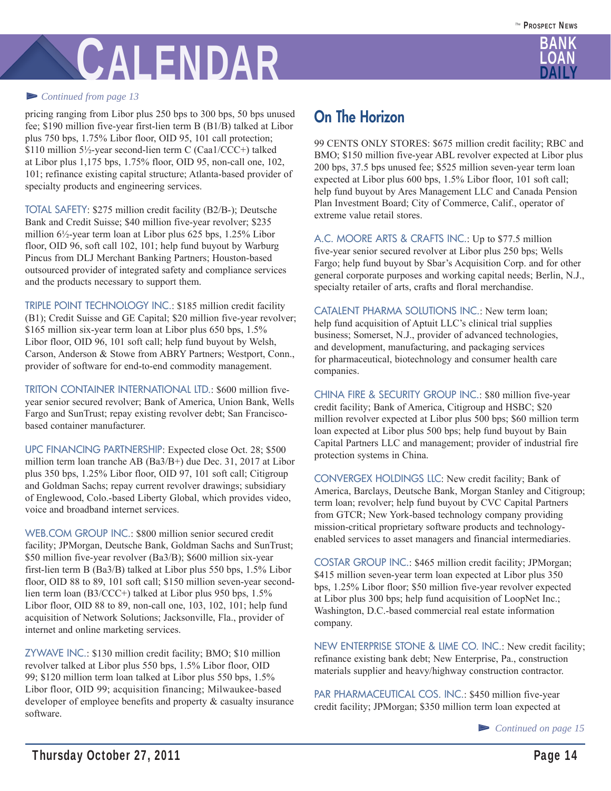

#### ▻ *Continued from page 13*

pricing ranging from Libor plus 250 bps to 300 bps, 50 bps unused fee; \$190 million five-year first-lien term B (B1/B) talked at Libor plus 750 bps, 1.75% Libor floor, OID 95, 101 call protection; \$110 million 5½-year second-lien term C (Caa1/CCC+) talked at Libor plus 1,175 bps, 1.75% floor, OID 95, non-call one, 102, 101; refinance existing capital structure; Atlanta-based provider of specialty products and engineering services.

TOTAL SAFETY: \$275 million credit facility (B2/B-); Deutsche Bank and Credit Suisse; \$40 million five-year revolver; \$235 million 6½-year term loan at Libor plus 625 bps, 1.25% Libor floor, OID 96, soft call 102, 101; help fund buyout by Warburg Pincus from DLJ Merchant Banking Partners; Houston-based outsourced provider of integrated safety and compliance services and the products necessary to support them.

TRIPLE POINT TECHNOLOGY INC.: \$185 million credit facility (B1); Credit Suisse and GE Capital; \$20 million five-year revolver; \$165 million six-year term loan at Libor plus 650 bps, 1.5% Libor floor, OID 96, 101 soft call; help fund buyout by Welsh, Carson, Anderson & Stowe from ABRY Partners; Westport, Conn., provider of software for end-to-end commodity management.

TRITON CONTAINER INTERNATIONAL LTD.: \$600 million fiveyear senior secured revolver; Bank of America, Union Bank, Wells Fargo and SunTrust; repay existing revolver debt; San Franciscobased container manufacturer.

UPC FINANCING PARTNERSHIP: Expected close Oct. 28; \$500 million term loan tranche AB (Ba3/B+) due Dec. 31, 2017 at Libor plus 350 bps, 1.25% Libor floor, OID 97, 101 soft call; Citigroup and Goldman Sachs; repay current revolver drawings; subsidiary of Englewood, Colo.-based Liberty Global, which provides video, voice and broadband internet services.

WEB.COM GROUP INC.: \$800 million senior secured credit facility; JPMorgan, Deutsche Bank, Goldman Sachs and SunTrust; \$50 million five-year revolver (Ba3/B); \$600 million six-year first-lien term B (Ba3/B) talked at Libor plus 550 bps, 1.5% Libor floor, OID 88 to 89, 101 soft call; \$150 million seven-year secondlien term loan (B3/CCC+) talked at Libor plus 950 bps, 1.5% Libor floor, OID 88 to 89, non-call one, 103, 102, 101; help fund acquisition of Network Solutions; Jacksonville, Fla., provider of internet and online marketing services.

ZYWAVE INC.: \$130 million credit facility; BMO; \$10 million revolver talked at Libor plus 550 bps, 1.5% Libor floor, OID 99; \$120 million term loan talked at Libor plus 550 bps, 1.5% Libor floor, OID 99; acquisition financing; Milwaukee-based developer of employee benefits and property & casualty insurance software.

## **On The Horizon**

99 CENTS ONLY STORES: \$675 million credit facility; RBC and BMO; \$150 million five-year ABL revolver expected at Libor plus 200 bps, 37.5 bps unused fee; \$525 million seven-year term loan expected at Libor plus 600 bps, 1.5% Libor floor, 101 soft call; help fund buyout by Ares Management LLC and Canada Pension Plan Investment Board; City of Commerce, Calif., operator of extreme value retail stores.

A.C. MOORE ARTS & CRAFTS INC.: Up to \$77.5 million five-year senior secured revolver at Libor plus 250 bps; Wells Fargo; help fund buyout by Sbar's Acquisition Corp. and for other general corporate purposes and working capital needs; Berlin, N.J., specialty retailer of arts, crafts and floral merchandise.

CATALENT PHARMA SOLUTIONS INC.: New term loan; help fund acquisition of Aptuit LLC's clinical trial supplies business; Somerset, N.J., provider of advanced technologies, and development, manufacturing, and packaging services for pharmaceutical, biotechnology and consumer health care companies.

CHINA FIRE & SECURITY GROUP INC.: \$80 million five-year credit facility; Bank of America, Citigroup and HSBC; \$20 million revolver expected at Libor plus 500 bps; \$60 million term loan expected at Libor plus 500 bps; help fund buyout by Bain Capital Partners LLC and management; provider of industrial fire protection systems in China.

CONVERGEX HOLDINGS LLC: New credit facility; Bank of America, Barclays, Deutsche Bank, Morgan Stanley and Citigroup; term loan; revolver; help fund buyout by CVC Capital Partners from GTCR; New York-based technology company providing mission-critical proprietary software products and technologyenabled services to asset managers and financial intermediaries.

COSTAR GROUP INC.: \$465 million credit facility; JPMorgan; \$415 million seven-year term loan expected at Libor plus 350 bps, 1.25% Libor floor; \$50 million five-year revolver expected at Libor plus 300 bps; help fund acquisition of LoopNet Inc.; Washington, D.C.-based commercial real estate information company.

NEW ENTERPRISE STONE & LIME CO. INC.: New credit facility; refinance existing bank debt; New Enterprise, Pa., construction materials supplier and heavy/highway construction contractor.

PAR PHARMACEUTICAL COS. INC.: \$450 million five-year credit facility; JPMorgan; \$350 million term loan expected at

<sup>▻</sup> *Continued on page 15*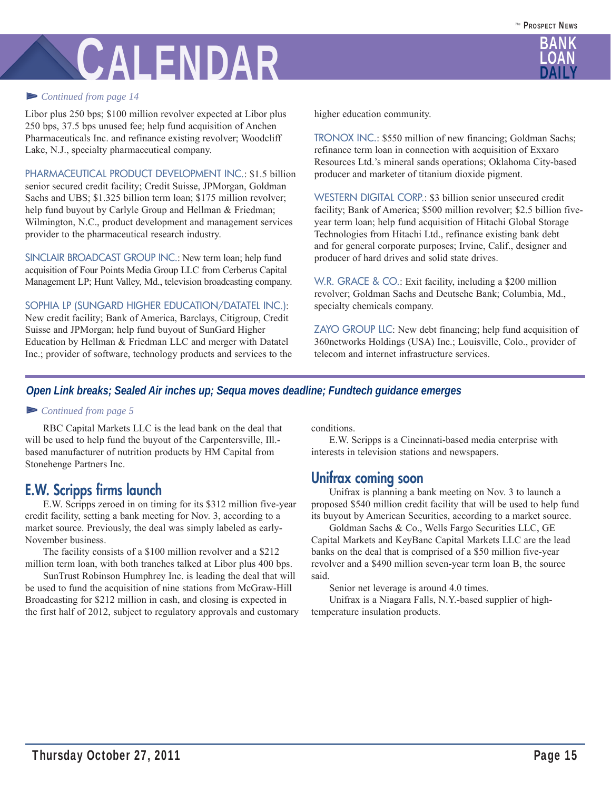

#### ▻ *Continued from page 14*

Libor plus 250 bps; \$100 million revolver expected at Libor plus 250 bps, 37.5 bps unused fee; help fund acquisition of Anchen Pharmaceuticals Inc. and refinance existing revolver; Woodcliff Lake, N.J., specialty pharmaceutical company.

PHARMACEUTICAL PRODUCT DEVELOPMENT INC.: \$1.5 billion senior secured credit facility; Credit Suisse, JPMorgan, Goldman Sachs and UBS; \$1.325 billion term loan; \$175 million revolver; help fund buyout by Carlyle Group and Hellman & Friedman; Wilmington, N.C., product development and management services provider to the pharmaceutical research industry.

SINCLAIR BROADCAST GROUP INC.: New term loan; help fund acquisition of Four Points Media Group LLC from Cerberus Capital Management LP; Hunt Valley, Md., television broadcasting company.

SOPHIA LP (SUNGARD HIGHER EDUCATION/DATATEL INC.):

New credit facility; Bank of America, Barclays, Citigroup, Credit Suisse and JPMorgan; help fund buyout of SunGard Higher Education by Hellman & Friedman LLC and merger with Datatel Inc.; provider of software, technology products and services to the higher education community.

TRONOX INC.: \$550 million of new financing; Goldman Sachs; refinance term loan in connection with acquisition of Exxaro Resources Ltd.'s mineral sands operations; Oklahoma City-based producer and marketer of titanium dioxide pigment.

WESTERN DIGITAL CORP.: \$3 billion senior unsecured credit facility; Bank of America; \$500 million revolver; \$2.5 billion fiveyear term loan; help fund acquisition of Hitachi Global Storage Technologies from Hitachi Ltd., refinance existing bank debt and for general corporate purposes; Irvine, Calif., designer and producer of hard drives and solid state drives.

W.R. GRACE & CO.: Exit facility, including a \$200 million revolver; Goldman Sachs and Deutsche Bank; Columbia, Md., specialty chemicals company.

ZAYO GROUP LLC: New debt financing; help fund acquisition of 360networks Holdings (USA) Inc.; Louisville, Colo., provider of telecom and internet infrastructure services.

#### *Open Link breaks; Sealed Air inches up; Sequa moves deadline; Fundtech guidance emerges*

#### ▻ *Continued from page 5*

 RBC Capital Markets LLC is the lead bank on the deal that will be used to help fund the buyout of the Carpentersville, Ill. based manufacturer of nutrition products by HM Capital from Stonehenge Partners Inc.

### **E.W. Scripps firms launch**

 E.W. Scripps zeroed in on timing for its \$312 million five-year credit facility, setting a bank meeting for Nov. 3, according to a market source. Previously, the deal was simply labeled as early-November business.

 The facility consists of a \$100 million revolver and a \$212 million term loan, with both tranches talked at Libor plus 400 bps.

 SunTrust Robinson Humphrey Inc. is leading the deal that will be used to fund the acquisition of nine stations from McGraw-Hill Broadcasting for \$212 million in cash, and closing is expected in the first half of 2012, subject to regulatory approvals and customary conditions.

 E.W. Scripps is a Cincinnati-based media enterprise with interests in television stations and newspapers.

### **Unifrax coming soon**

 Unifrax is planning a bank meeting on Nov. 3 to launch a proposed \$540 million credit facility that will be used to help fund its buyout by American Securities, according to a market source.

 Goldman Sachs & Co., Wells Fargo Securities LLC, GE Capital Markets and KeyBanc Capital Markets LLC are the lead banks on the deal that is comprised of a \$50 million five-year revolver and a \$490 million seven-year term loan B, the source said.

Senior net leverage is around 4.0 times.

 Unifrax is a Niagara Falls, N.Y.-based supplier of hightemperature insulation products.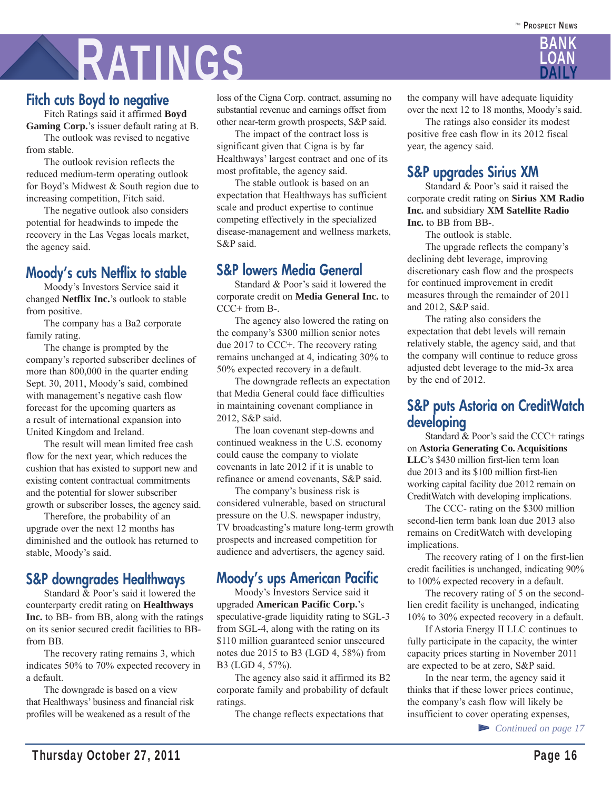# RATINGS

## **Fitch cuts Boyd to negative**

 Fitch Ratings said it affirmed **Boyd Gaming Corp.**'s issuer default rating at B.

 The outlook was revised to negative from stable.

 The outlook revision reflects the reduced medium-term operating outlook for Boyd's Midwest & South region due to increasing competition, Fitch said.

 The negative outlook also considers potential for headwinds to impede the recovery in the Las Vegas locals market, the agency said.

### **Moody's cuts Netflix to stable**

 Moody's Investors Service said it changed **Netflix Inc.**'s outlook to stable from positive.

 The company has a Ba2 corporate family rating.

 The change is prompted by the company's reported subscriber declines of more than 800,000 in the quarter ending Sept. 30, 2011, Moody's said, combined with management's negative cash flow forecast for the upcoming quarters as a result of international expansion into United Kingdom and Ireland.

 The result will mean limited free cash flow for the next year, which reduces the cushion that has existed to support new and existing content contractual commitments and the potential for slower subscriber growth or subscriber losses, the agency said.

 Therefore, the probability of an upgrade over the next 12 months has diminished and the outlook has returned to stable, Moody's said.

### **S&P downgrades Healthways**

 Standard & Poor's said it lowered the counterparty credit rating on **Healthways Inc.** to BB- from BB, along with the ratings on its senior secured credit facilities to BBfrom BB.

 The recovery rating remains 3, which indicates 50% to 70% expected recovery in a default.

 The downgrade is based on a view that Healthways' business and financial risk profiles will be weakened as a result of the

loss of the Cigna Corp. contract, assuming no substantial revenue and earnings offset from other near-term growth prospects, S&P said.

 The impact of the contract loss is significant given that Cigna is by far Healthways' largest contract and one of its most profitable, the agency said.

 The stable outlook is based on an expectation that Healthways has sufficient scale and product expertise to continue competing effectively in the specialized disease-management and wellness markets, S&P said.

### **S&P lowers Media General**

 Standard & Poor's said it lowered the corporate credit on **Media General Inc.** to  $CCC+$  from B-.

 The agency also lowered the rating on the company's \$300 million senior notes due 2017 to CCC+. The recovery rating remains unchanged at 4, indicating 30% to 50% expected recovery in a default.

 The downgrade reflects an expectation that Media General could face difficulties in maintaining covenant compliance in 2012, S&P said.

 The loan covenant step-downs and continued weakness in the U.S. economy could cause the company to violate covenants in late 2012 if it is unable to refinance or amend covenants, S&P said.

 The company's business risk is considered vulnerable, based on structural pressure on the U.S. newspaper industry, TV broadcasting's mature long-term growth prospects and increased competition for audience and advertisers, the agency said.

## **Moody's ups American Pacific**

 Moody's Investors Service said it upgraded **American Pacific Corp.**'s speculative-grade liquidity rating to SGL-3 from SGL-4, along with the rating on its \$110 million guaranteed senior unsecured notes due 2015 to B3 (LGD 4, 58%) from B3 (LGD 4, 57%).

 The agency also said it affirmed its B2 corporate family and probability of default ratings.

The change reflects expectations that

the company will have adequate liquidity over the next 12 to 18 months, Moody's said.

 The ratings also consider its modest positive free cash flow in its 2012 fiscal year, the agency said.

### **S&P upgrades Sirius XM**

 Standard & Poor's said it raised the corporate credit rating on **Sirius XM Radio Inc.** and subsidiary **XM Satellite Radio Inc.** to BB from BB-.

The outlook is stable.

 The upgrade reflects the company's declining debt leverage, improving discretionary cash flow and the prospects for continued improvement in credit measures through the remainder of 2011 and 2012, S&P said.

 The rating also considers the expectation that debt levels will remain relatively stable, the agency said, and that the company will continue to reduce gross adjusted debt leverage to the mid-3x area by the end of 2012.

### **S&P puts Astoria on CreditWatch developing**

Standard & Poor's said the CCC+ ratings on **Astoria Generating Co. Acquisitions LLC**'s \$430 million first-lien term loan due 2013 and its \$100 million first-lien working capital facility due 2012 remain on CreditWatch with developing implications.

 The CCC- rating on the \$300 million second-lien term bank loan due 2013 also remains on CreditWatch with developing implications.

 The recovery rating of 1 on the first-lien credit facilities is unchanged, indicating 90% to 100% expected recovery in a default.

 The recovery rating of 5 on the secondlien credit facility is unchanged, indicating 10% to 30% expected recovery in a default.

 If Astoria Energy II LLC continues to fully participate in the capacity, the winter capacity prices starting in November 2011 are expected to be at zero, S&P said.

 In the near term, the agency said it thinks that if these lower prices continue, the company's cash flow will likely be insufficient to cover operating expenses,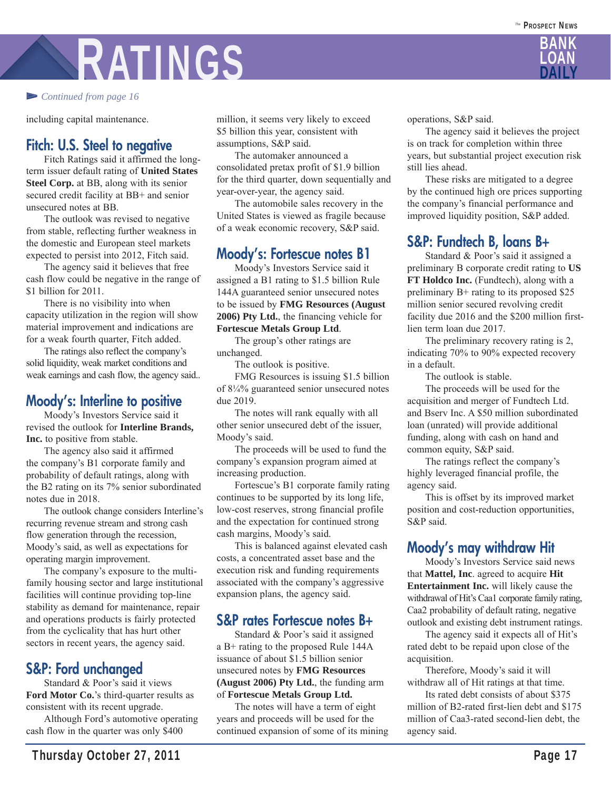# RATINGS

#### ▻ *Continued from page 16*

including capital maintenance.

### **Fitch: U.S. Steel to negative**

 Fitch Ratings said it affirmed the longterm issuer default rating of **United States Steel Corp.** at BB, along with its senior secured credit facility at BB+ and senior unsecured notes at BB.

 The outlook was revised to negative from stable, reflecting further weakness in the domestic and European steel markets expected to persist into 2012, Fitch said.

 The agency said it believes that free cash flow could be negative in the range of \$1 billion for 2011.

 There is no visibility into when capacity utilization in the region will show material improvement and indications are for a weak fourth quarter, Fitch added.

 The ratings also reflect the company's solid liquidity, weak market conditions and weak earnings and cash flow, the agency said..

### **Moody's: Interline to positive**

 Moody's Investors Service said it revised the outlook for **Interline Brands, Inc.** to positive from stable.

 The agency also said it affirmed the company's B1 corporate family and probability of default ratings, along with the B2 rating on its 7% senior subordinated notes due in 2018.

 The outlook change considers Interline's recurring revenue stream and strong cash flow generation through the recession, Moody's said, as well as expectations for operating margin improvement.

 The company's exposure to the multifamily housing sector and large institutional facilities will continue providing top-line stability as demand for maintenance, repair and operations products is fairly protected from the cyclicality that has hurt other sectors in recent years, the agency said.

### **S&P: Ford unchanged**

 Standard & Poor's said it views **Ford Motor Co.**'s third-quarter results as consistent with its recent upgrade.

 Although Ford's automotive operating cash flow in the quarter was only \$400

million, it seems very likely to exceed \$5 billion this year, consistent with assumptions, S&P said.

 The automaker announced a consolidated pretax profit of \$1.9 billion for the third quarter, down sequentially and year-over-year, the agency said.

 The automobile sales recovery in the United States is viewed as fragile because of a weak economic recovery, S&P said.

### **Moody's: Fortescue notes B1**

 Moody's Investors Service said it assigned a B1 rating to \$1.5 billion Rule 144A guaranteed senior unsecured notes to be issued by **FMG Resources (August 2006) Pty Ltd.**, the financing vehicle for **Fortescue Metals Group Ltd**.

 The group's other ratings are unchanged.

The outlook is positive.

 FMG Resources is issuing \$1.5 billion of 8¼% guaranteed senior unsecured notes due 2019.

 The notes will rank equally with all other senior unsecured debt of the issuer, Moody's said.

 The proceeds will be used to fund the company's expansion program aimed at increasing production.

 Fortescue's B1 corporate family rating continues to be supported by its long life, low-cost reserves, strong financial profile and the expectation for continued strong cash margins, Moody's said.

 This is balanced against elevated cash costs, a concentrated asset base and the execution risk and funding requirements associated with the company's aggressive expansion plans, the agency said.

#### **S&P rates Fortescue notes B+**

 Standard & Poor's said it assigned a B+ rating to the proposed Rule 144A issuance of about \$1.5 billion senior unsecured notes by **FMG Resources (August 2006) Pty Ltd.**, the funding arm of **Fortescue Metals Group Ltd.**

 The notes will have a term of eight years and proceeds will be used for the continued expansion of some of its mining operations, S&P said.

 The agency said it believes the project is on track for completion within three years, but substantial project execution risk still lies ahead.

 These risks are mitigated to a degree by the continued high ore prices supporting the company's financial performance and improved liquidity position, S&P added.

### **S&P: Fundtech B, loans B+**

 Standard & Poor's said it assigned a preliminary B corporate credit rating to **US FT Holdco Inc.** (Fundtech), along with a preliminary B+ rating to its proposed \$25 million senior secured revolving credit facility due 2016 and the \$200 million firstlien term loan due 2017.

 The preliminary recovery rating is 2, indicating 70% to 90% expected recovery in a default.

The outlook is stable.

 The proceeds will be used for the acquisition and merger of Fundtech Ltd. and Bserv Inc. A \$50 million subordinated loan (unrated) will provide additional funding, along with cash on hand and common equity, S&P said.

 The ratings reflect the company's highly leveraged financial profile, the agency said.

 This is offset by its improved market position and cost-reduction opportunities, S&P said.

### **Moody's may withdraw Hit**

 Moody's Investors Service said news that **Mattel, Inc**. agreed to acquire **Hit Entertainment Inc.** will likely cause the withdrawal of Hit's Caa1 corporate family rating, Caa2 probability of default rating, negative outlook and existing debt instrument ratings.

 The agency said it expects all of Hit's rated debt to be repaid upon close of the acquisition.

 Therefore, Moody's said it will withdraw all of Hit ratings at that time.

 Its rated debt consists of about \$375 million of B2-rated first-lien debt and \$175 million of Caa3-rated second-lien debt, the agency said.

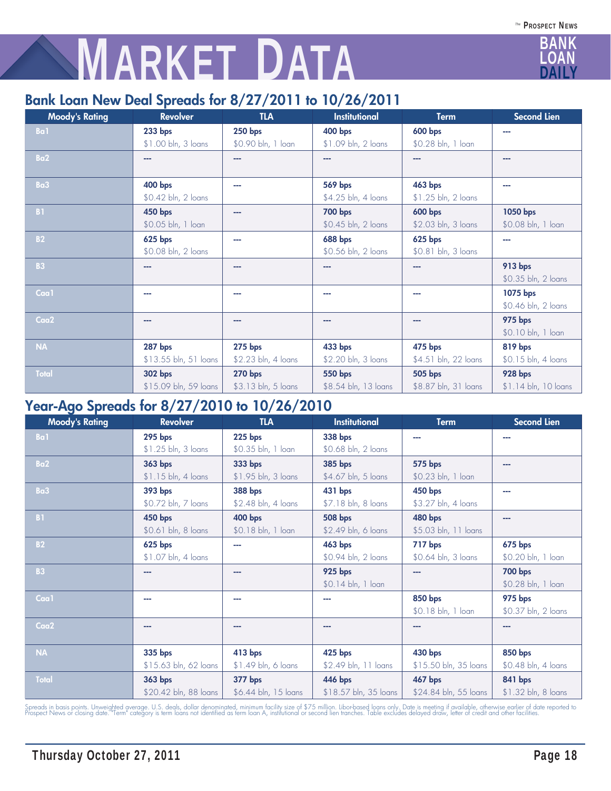# **MARKET DATA**

## **Bank Loan New Deal Spreads for 8/27/2011 to 10/26/2011**

| <b>Moody's Rating</b> | <b>Revolver</b>       | <b>TLA</b>          | Institutional        | <b>Term</b>          | <b>Second Lien</b>   |
|-----------------------|-----------------------|---------------------|----------------------|----------------------|----------------------|
| Ba1                   | $233$ bps             | <b>250 bps</b>      | 400 bps              | <b>600 bps</b>       |                      |
|                       | \$1.00 bln, 3 loans   | \$0.90 bln, 1 loan  | \$1.09 bln, 2 loans  | \$0.28 bln, 1 loan   |                      |
| Ba2                   | --                    | --                  | ---                  | --                   | ---                  |
|                       |                       |                     |                      |                      |                      |
| Ba3                   | <b>400 bps</b>        | ---                 | 569 bps              | 463 bps              |                      |
|                       | \$0.42 bln, 2 loans   |                     | \$4.25 bln, 4 loans  | \$1.25 bln, 2 loans  |                      |
| <b>B1</b>             | 450 bps               | ---                 | <b>700 bps</b>       | <b>600 bps</b>       | 1050 bps             |
|                       | \$0.05 bln, 1 loan    |                     | \$0.45 bln, 2 loans  | \$2.03 bln, 3 loans  | \$0.08 bln, 1 loan   |
| <b>B2</b>             | <b>625 bps</b>        | ---                 | <b>688 bps</b>       | <b>625 bps</b>       | ---                  |
|                       | \$0.08 bln, 2 loans   |                     | \$0.56 bln, 2 loans  | \$0.81 bln, 3 loans  |                      |
| <b>B3</b>             |                       | ---                 | ---                  | ---                  | <b>913 bps</b>       |
|                       |                       |                     |                      |                      | \$0.35 bln, 2 loans  |
| Caa1                  | a ma                  | ---                 | ---                  | ---                  | 1075 bps             |
|                       |                       |                     |                      |                      | \$0.46 bln, 2 loans  |
| Caa <sub>2</sub>      | ---                   | ---                 | ---                  | ---                  | <b>975 bps</b>       |
|                       |                       |                     |                      |                      | \$0.10 bln, 1 loan   |
| <b>NA</b>             | <b>287 bps</b>        | <b>275 bps</b>      | 433 bps              | 475 bps              | 819 bps              |
|                       | \$13.55 bln, 51 loans | \$2.23 bln, 4 loans | \$2.20 bln, 3 loans  | \$4.51 bln, 22 loans | \$0.15 bln, 4 loans  |
| <b>Total</b>          | 302 bps               | <b>270 bps</b>      | 550 bps              | 505 bps              | <b>928 bps</b>       |
|                       | \$15.09 bln, 59 loans | \$3.13 bln, 5 loans | \$8.54 bln, 13 loans | \$8.87 bln, 31 loans | \$1.14 bln, 10 loans |

## **Year-Ago Spreads for 8/27/2010 to 10/26/2010**

| <b>Moody's Rating</b> | <b>Revolver</b>       | <b>TLA</b>           | Institutional         | <b>Term</b>           | Second Lien         |
|-----------------------|-----------------------|----------------------|-----------------------|-----------------------|---------------------|
| Ba1                   | <b>295 bps</b>        | <b>225 bps</b>       | 338 bps<br>---        |                       |                     |
|                       | \$1.25 bln, 3 loans   | \$0.35 bln, 1 loan   | \$0.68 bln, 2 loans   |                       |                     |
| Ba <sub>2</sub>       | 363 bps               | 333 bps              | 385 bps               | 575 bps               | --                  |
|                       | \$1.15 bln, 4 loans   | \$1.95 bln, 3 loans  | \$4.67 bln, 5 loans   | \$0.23 bln, 1 loan    |                     |
| Ba3                   | 393 bps               | 388 bps              | 431 bps               | <b>450 bps</b>        |                     |
|                       | \$0.72 bln, 7 loans   | \$2.48 bln, 4 loans  | \$7.18 bln, 8 loans   | \$3.27 bln, 4 loans   |                     |
| <b>B1</b>             | 450 bps               | 400 bps              | <b>508 bps</b>        | <b>480 bps</b>        | ---                 |
|                       | \$0.61 bln, 8 loans   | \$0.18 bln, 1 loan   | \$2.49 bln, 6 loans   | \$5.03 bln, 11 loans  |                     |
| <b>B2</b>             | 625 bps               | ---                  | 463 bps               | 717 bps               | <b>675 bps</b>      |
|                       | \$1.07 bln, 4 loans   |                      | \$0.94 bln, 2 loans   | \$0.64 bln, 3 loans   | \$0.20 bln, 1 loan  |
| <b>B3</b>             | --                    | ---                  | <b>925 bps</b>        | ---                   | <b>700 bps</b>      |
|                       |                       |                      | \$0.14 bln, 1 loan    |                       | \$0.28 bln, 1 loan  |
| Caa1                  | ---                   | ---                  | ---                   | 850 bps               | <b>975 bps</b>      |
|                       |                       |                      |                       | \$0.18 bln, 1 loan    | \$0.37 bln, 2 loans |
| Caa2                  | ---                   | ---                  | ---                   |                       |                     |
|                       |                       |                      |                       |                       |                     |
| NA                    | 335 bps               | 413 bps              | 425 bps               | 430 bps               | 850 bps             |
|                       | \$15.63 bln, 62 loans | \$1.49 bln, 6 loans  | \$2.49 bln, 11 loans  | \$15.50 bln, 35 loans | \$0.48 bln, 4 loans |
| <b>Total</b>          | 363 bps               | 377 bps              | 446 bps               | 467 bps               | <b>841 bps</b>      |
|                       | \$20.42 bln, 88 loans | \$6.44 bln, 15 loans | \$18.57 bln, 35 loans | \$24.84 bln, 55 loans | \$1.32 bln, 8 loans |

Spreads in basis points. Unweighted average. U.S. deals, dollar denominated, minimum facility size of \$75 million. Libor-based loans only. Date is meeting if available, otherwise earlier of date reported to<br>Prospect News o

BANK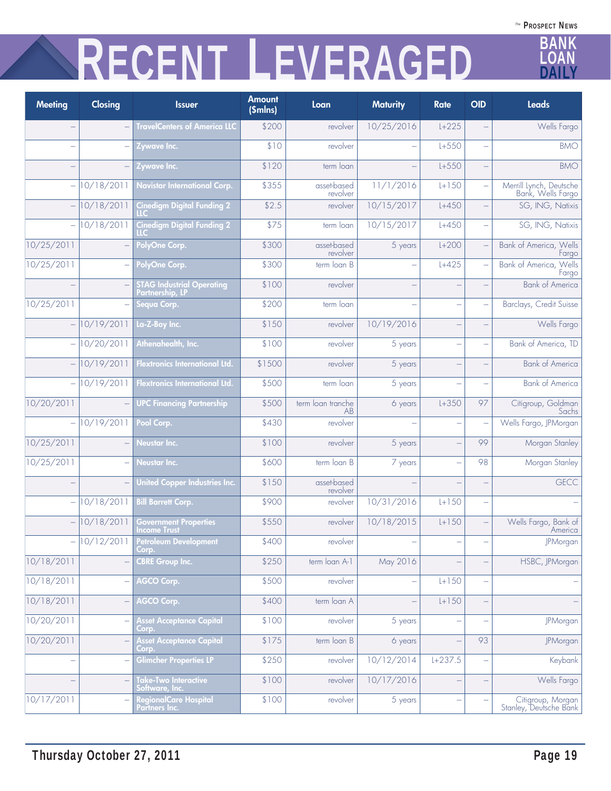# **RECENT LEVERAGED**

| Meeting                  | Closing                  | <b>Issuer</b>                                       | <b>Amount</b><br>(Smlns) | Loan                    | <b>Maturity</b>          | <b>Rate</b>              | <b>OID</b>               | <b>Leads</b>                                 |
|--------------------------|--------------------------|-----------------------------------------------------|--------------------------|-------------------------|--------------------------|--------------------------|--------------------------|----------------------------------------------|
|                          | $\overline{\phantom{a}}$ | <b>TravelCenters of America LLC</b>                 | \$200                    | revolver                | 10/25/2016               | $L + 225$                |                          | Wells Fargo                                  |
| $\overline{\phantom{0}}$ | $\overline{\phantom{0}}$ | Zywave Inc.                                         | \$10                     | revolver                |                          | $L + 550$                | $\overline{\phantom{a}}$ | <b>BMO</b>                                   |
|                          |                          | Zywave Inc.                                         | \$120                    | term loan               |                          | $L + 550$                |                          | <b>BMO</b>                                   |
| $\overline{\phantom{0}}$ | 10/18/2011               | Navistar International Corp.                        | \$355                    | asset-based<br>revolver | 11/1/2016                | $L + 150$                |                          | Merrill Lynch, Deutsche<br>Bank, Wells Fargo |
| $\overline{\phantom{0}}$ | 10/18/2011               | <b>Cinedigm Digital Funding 2</b>                   | \$2.5                    | revolver                | 10/15/2017               | $L + 450$                |                          | SG, ING, Natixis                             |
| $\overline{\phantom{0}}$ | 10/18/2011               | <b>Cinedigm Digital Funding 2</b>                   | \$75                     | term loan               | 10/15/2017               | $L + 450$                | $\overline{\phantom{a}}$ | SG, ING, Natixis                             |
| 10/25/2011               |                          | PolyOne Corp.                                       | \$300                    | asset-based<br>revolver | 5 years                  | $L+200$                  |                          | Bank of America, Wells<br>Fargo              |
| 10/25/2011               |                          | PolyOne Corp.                                       | \$300                    | term loan B             |                          | $L + 425$                |                          | Bank of America, Wells<br>Fargo              |
|                          |                          | <b>STAG Industrial Operating</b><br>Partnership, LP | \$100                    | revolver                | $\overline{\phantom{a}}$ | ÷                        |                          | <b>Bank of America</b>                       |
| 10/25/2011               |                          | Sequa Corp.                                         | \$200                    | term loan               |                          | $\overline{\phantom{0}}$ |                          | Barclays, Credit Suisse                      |
|                          | 10/19/2011               | La-Z-Boy Inc.                                       | \$150                    | revolver                | 10/19/2016               |                          |                          | Wells Fargo                                  |
| $\overline{\phantom{0}}$ | 10/20/2011               | Athenahealth, Inc.                                  | \$100                    | revolver                | 5 years                  | $\overline{\phantom{0}}$ | $\overline{\phantom{a}}$ | Bank of America, TD                          |
| $\equiv$                 | 10/19/2011               | <b>Flextronics International Ltd.</b>               | \$1500                   | revolver                | 5 years                  | $\overline{\phantom{0}}$ |                          | <b>Bank of America</b>                       |
|                          | 10/19/2011               | <b>Flextronics International Ltd.</b>               | \$500                    | term loan               | 5 years                  | $\overline{a}$           |                          | <b>Bank of America</b>                       |
| 10/20/2011               | $\overline{\phantom{a}}$ | <b>UPC Financing Partnership</b>                    | \$500                    | term loan tranche<br>AB | 6 years                  | $L + 350$                | 97                       | Citigroup, Goldman<br>Sachs                  |
| $\overline{\phantom{0}}$ | 10/19/2011               | Pool Corp.                                          | \$430                    | revolver                |                          | $\overline{\phantom{0}}$ |                          | Wells Fargo, JPMorgan                        |
| 10/25/2011               |                          | <b>Neustar Inc.</b>                                 | \$100                    | revolver                | 5 years                  | $\overline{\phantom{0}}$ | 99                       | Morgan Stanley                               |
| 10/25/2011               |                          | Neustar Inc.                                        | \$600                    | term loan B             | 7 years                  | $\overline{\phantom{0}}$ | 98                       | Morgan Stanley                               |
|                          |                          | United Copper Industries Inc.                       | \$150                    | asset-based<br>revolver |                          |                          |                          | <b>GECC</b>                                  |
| $\overline{\phantom{0}}$ | 10/18/2011               | <b>Bill Barrett Corp.</b>                           | \$900                    | revolver                | 10/31/2016               | $L + 150$                | $\overline{\phantom{a}}$ |                                              |
|                          | 10/18/2011               | <b>Government Properties</b><br>Income Trust        | \$550                    | revolver                | 10/18/2015               | $L + 150$                |                          | Wells Fargo, Bank of<br>America              |
|                          | $- 10/12/2011$           | <b>Petroleum Development</b><br>Corp.               | \$400                    | revolver                |                          |                          |                          | <b>JPMorgan</b>                              |
| 10/18/2011               |                          | <b>CBRE Group Inc.</b>                              | \$250                    | term loan A-1           | May 2016                 |                          |                          | HSBC, JPMorgan                               |
| 10/18/2011               |                          | <b>AGCO Corp.</b>                                   | \$500                    | revolver                |                          | $L + 150$                |                          |                                              |
| 10/18/2011               | $\overline{\phantom{a}}$ | <b>AGCO Corp.</b>                                   | \$400                    | term loan A             | $\overline{\phantom{0}}$ | $L + 150$                |                          |                                              |
| 10/20/2011               | ÷                        | <b>Asset Acceptance Capital</b><br>Corp.            | \$100                    | revolver                | 5 years                  |                          |                          | JPMorgan                                     |
| 10/20/2011               |                          | <b>Asset Acceptance Capital</b><br>Corp.            | \$175                    | term loan B             | 6 years                  |                          | 93                       | JPMorgan                                     |
| ÷                        | ÷                        | Glimcher Properties LP                              | \$250                    | revolver                | 10/12/2014               | $L+237.5$                |                          | Keybank                                      |
|                          |                          | <b>Take-Two Interactive</b><br>oftware, Inc.        | \$100                    | revolver                | 10/17/2016               |                          |                          | Wells Fargo                                  |
| 10/17/2011               |                          | <b>RegionalCare Hospital</b><br>Partners Inc.       | \$100                    | revolver                | 5 years                  |                          |                          | Citigroup, Morgan<br>Stanley, Deutsche Bank  |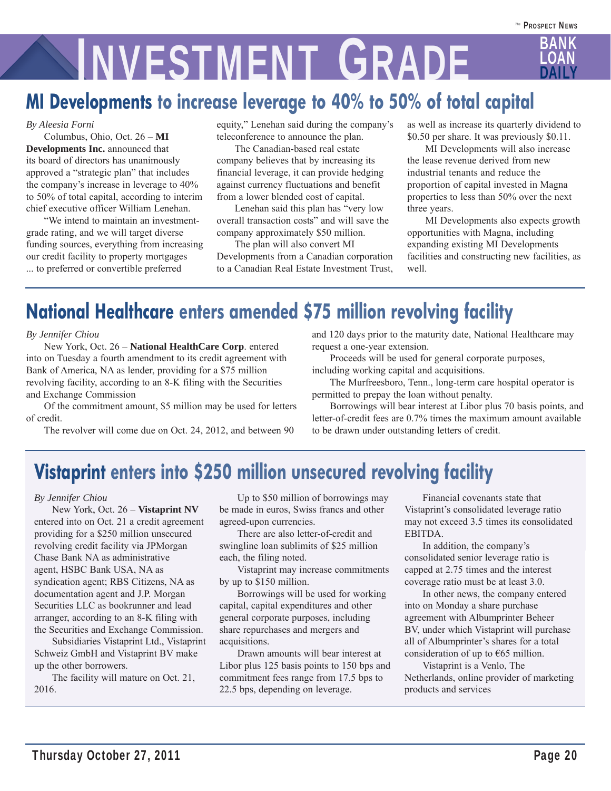# **NIVESTMENT GRADE**

## **MI Developments to increase leverage to 40% to 50% of total capital**

#### *By Aleesia Forni*

 Columbus, Ohio, Oct. 26 – **MI Developments Inc.** announced that its board of directors has unanimously approved a "strategic plan" that includes the company's increase in leverage to 40% to 50% of total capital, according to interim chief executive officer William Lenehan.

 "We intend to maintain an investmentgrade rating, and we will target diverse funding sources, everything from increasing our credit facility to property mortgages ... to preferred or convertible preferred

equity," Lenehan said during the company's teleconference to announce the plan.

 The Canadian-based real estate company believes that by increasing its financial leverage, it can provide hedging against currency fluctuations and benefit from a lower blended cost of capital.

 Lenehan said this plan has "very low overall transaction costs" and will save the company approximately \$50 million.

 The plan will also convert MI Developments from a Canadian corporation to a Canadian Real Estate Investment Trust, as well as increase its quarterly dividend to \$0.50 per share. It was previously \$0.11.

 MI Developments will also increase the lease revenue derived from new industrial tenants and reduce the proportion of capital invested in Magna properties to less than 50% over the next three years.

 MI Developments also expects growth opportunities with Magna, including expanding existing MI Developments facilities and constructing new facilities, as well.

# **National Healthcare enters amended \$75 million revolving facility**

#### *By Jennifer Chiou*

 New York, Oct. 26 – **National HealthCare Corp**. entered into on Tuesday a fourth amendment to its credit agreement with Bank of America, NA as lender, providing for a \$75 million revolving facility, according to an 8-K filing with the Securities and Exchange Commission

 Of the commitment amount, \$5 million may be used for letters of credit.

The revolver will come due on Oct. 24, 2012, and between 90

and 120 days prior to the maturity date, National Healthcare may request a one-year extension.

Proceeds will be used for general corporate purposes,

including working capital and acquisitions.

 The Murfreesboro, Tenn., long-term care hospital operator is permitted to prepay the loan without penalty.

 Borrowings will bear interest at Libor plus 70 basis points, and letter-of-credit fees are 0.7% times the maximum amount available to be drawn under outstanding letters of credit.

# **Vistaprint enters into \$250 million unsecured revolving facility**

#### *By Jennifer Chiou*

 New York, Oct. 26 – **Vistaprint NV** entered into on Oct. 21 a credit agreement providing for a \$250 million unsecured revolving credit facility via JPMorgan Chase Bank NA as administrative agent, HSBC Bank USA, NA as syndication agent; RBS Citizens, NA as documentation agent and J.P. Morgan Securities LLC as bookrunner and lead arranger, according to an 8-K filing with the Securities and Exchange Commission.

 Subsidiaries Vistaprint Ltd., Vistaprint Schweiz GmbH and Vistaprint BV make up the other borrowers.

 The facility will mature on Oct. 21, 2016.

 Up to \$50 million of borrowings may be made in euros, Swiss francs and other agreed-upon currencies.

 There are also letter-of-credit and swingline loan sublimits of \$25 million each, the filing noted.

 Vistaprint may increase commitments by up to \$150 million.

 Borrowings will be used for working capital, capital expenditures and other general corporate purposes, including share repurchases and mergers and acquisitions.

 Drawn amounts will bear interest at Libor plus 125 basis points to 150 bps and commitment fees range from 17.5 bps to 22.5 bps, depending on leverage.

 Financial covenants state that Vistaprint's consolidated leverage ratio may not exceed 3.5 times its consolidated EBITDA.

 In addition, the company's consolidated senior leverage ratio is capped at 2.75 times and the interest coverage ratio must be at least 3.0.

 In other news, the company entered into on Monday a share purchase agreement with Albumprinter Beheer BV, under which Vistaprint will purchase all of Albumprinter's shares for a total consideration of up to €65 million.

 Vistaprint is a Venlo, The Netherlands, online provider of marketing products and services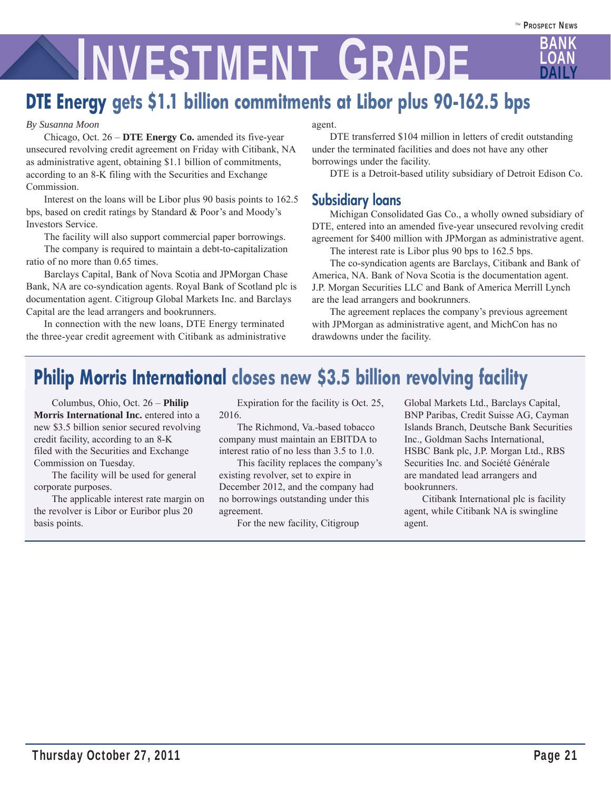# **LOAN INVESTMENT GRADE**

# **DTE Energy gets \$1.1 billion commitments at Libor plus 90-162.5 bps**

#### *By Susanna Moon*

 Chicago, Oct. 26 – **DTE Energy Co.** amended its five-year unsecured revolving credit agreement on Friday with Citibank, NA as administrative agent, obtaining \$1.1 billion of commitments, according to an 8-K filing with the Securities and Exchange Commission.

 Interest on the loans will be Libor plus 90 basis points to 162.5 bps, based on credit ratings by Standard & Poor's and Moody's Investors Service.

The facility will also support commercial paper borrowings.

 The company is required to maintain a debt-to-capitalization ratio of no more than 0.65 times.

 Barclays Capital, Bank of Nova Scotia and JPMorgan Chase Bank, NA are co-syndication agents. Royal Bank of Scotland plc is documentation agent. Citigroup Global Markets Inc. and Barclays Capital are the lead arrangers and bookrunners.

 In connection with the new loans, DTE Energy terminated the three-year credit agreement with Citibank as administrative

#### agent.

 DTE transferred \$104 million in letters of credit outstanding under the terminated facilities and does not have any other borrowings under the facility.

DTE is a Detroit-based utility subsidiary of Detroit Edison Co.

### **Subsidiary loans**

 Michigan Consolidated Gas Co., a wholly owned subsidiary of DTE, entered into an amended five-year unsecured revolving credit agreement for \$400 million with JPMorgan as administrative agent.

The interest rate is Libor plus 90 bps to 162.5 bps.

 The co-syndication agents are Barclays, Citibank and Bank of America, NA. Bank of Nova Scotia is the documentation agent. J.P. Morgan Securities LLC and Bank of America Merrill Lynch are the lead arrangers and bookrunners.

 The agreement replaces the company's previous agreement with JPMorgan as administrative agent, and MichCon has no drawdowns under the facility.

# **Philip Morris International closes new \$3.5 billion revolving facility**

 Columbus, Ohio, Oct. 26 – **Philip Morris International Inc.** entered into a new \$3.5 billion senior secured revolving credit facility, according to an 8-K filed with the Securities and Exchange Commission on Tuesday.

 The facility will be used for general corporate purposes.

 The applicable interest rate margin on the revolver is Libor or Euribor plus 20 basis points.

 Expiration for the facility is Oct. 25, 2016.

 The Richmond, Va.-based tobacco company must maintain an EBITDA to interest ratio of no less than 3.5 to 1.0.

 This facility replaces the company's existing revolver, set to expire in December 2012, and the company had no borrowings outstanding under this agreement.

For the new facility, Citigroup

Global Markets Ltd., Barclays Capital, BNP Paribas, Credit Suisse AG, Cayman Islands Branch, Deutsche Bank Securities Inc., Goldman Sachs International, HSBC Bank plc, J.P. Morgan Ltd., RBS Securities Inc. and Société Générale are mandated lead arrangers and bookrunners.

 Citibank International plc is facility agent, while Citibank NA is swingline agent.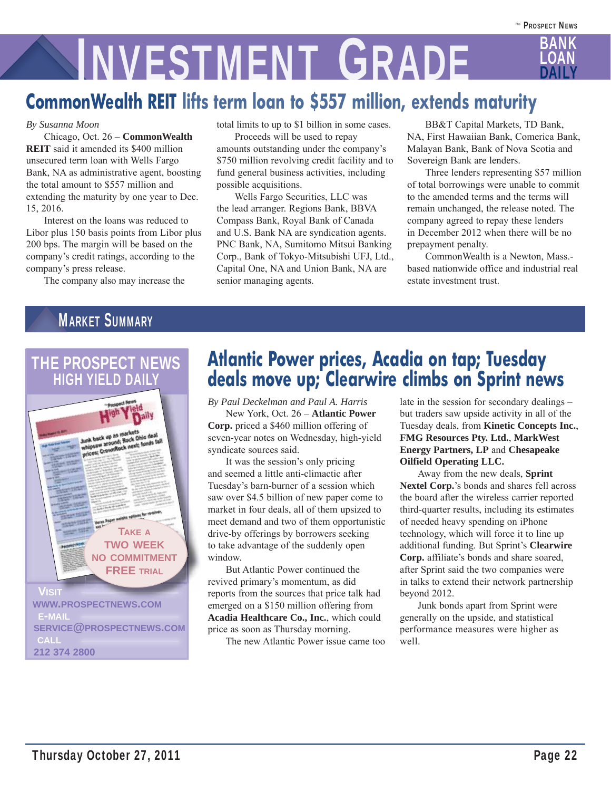# **LOAN INVESTMENT GRADE**

# **CommonWealth REIT lifts term loan to \$557 million, extends maturity**

#### *By Susanna Moon*

 Chicago, Oct. 26 – **CommonWealth REIT** said it amended its \$400 million unsecured term loan with Wells Fargo Bank, NA as administrative agent, boosting the total amount to \$557 million and extending the maturity by one year to Dec. 15, 2016.

 Interest on the loans was reduced to Libor plus 150 basis points from Libor plus 200 bps. The margin will be based on the company's credit ratings, according to the company's press release.

The company also may increase the

total limits to up to \$1 billion in some cases.

 Proceeds will be used to repay amounts outstanding under the company's \$750 million revolving credit facility and to fund general business activities, including possible acquisitions.

 Wells Fargo Securities, LLC was the lead arranger. Regions Bank, BBVA Compass Bank, Royal Bank of Canada and U.S. Bank NA are syndication agents. PNC Bank, NA, Sumitomo Mitsui Banking Corp., Bank of Tokyo-Mitsubishi UFJ, Ltd., Capital One, NA and Union Bank, NA are senior managing agents.

 BB&T Capital Markets, TD Bank, NA, First Hawaiian Bank, Comerica Bank, Malayan Bank, Bank of Nova Scotia and Sovereign Bank are lenders.

 Three lenders representing \$57 million of total borrowings were unable to commit to the amended terms and the terms will remain unchanged, the release noted. The company agreed to repay these lenders in December 2012 when there will be no prepayment penalty.

 CommonWealth is a Newton, Mass. based nationwide office and industrial real estate investment trust.

## MARKET SUMMARY

## THE PROSPECT NEWS **HIGH YIELD DAILY**



## **Atlantic Power prices, Acadia on tap; Tuesday deals move up; Clearwire climbs on Sprint news**

*By Paul Deckelman and Paul A. Harris*

 New York, Oct. 26 – **Atlantic Power Corp.** priced a \$460 million offering of seven-year notes on Wednesday, high-yield syndicate sources said.

 It was the session's only pricing and seemed a little anti-climactic after Tuesday's barn-burner of a session which saw over \$4.5 billion of new paper come to market in four deals, all of them upsized to meet demand and two of them opportunistic drive-by offerings by borrowers seeking to take advantage of the suddenly open window.

 But Atlantic Power continued the revived primary's momentum, as did reports from the sources that price talk had emerged on a \$150 million offering from **Acadia Healthcare Co., Inc.**, which could price as soon as Thursday morning.

The new Atlantic Power issue came too

late in the session for secondary dealings – but traders saw upside activity in all of the Tuesday deals, from **Kinetic Concepts Inc.**, **FMG Resources Pty. Ltd.**, **MarkWest Energy Partners, LP** and **Chesapeake Oilfield Operating LLC.**

 Away from the new deals, **Sprint Nextel Corp.**'s bonds and shares fell across the board after the wireless carrier reported third-quarter results, including its estimates of needed heavy spending on iPhone technology, which will force it to line up additional funding. But Sprint's **Clearwire Corp.** affiliate's bonds and share soared, after Sprint said the two companies were in talks to extend their network partnership beyond 2012.

 Junk bonds apart from Sprint were generally on the upside, and statistical performance measures were higher as well.